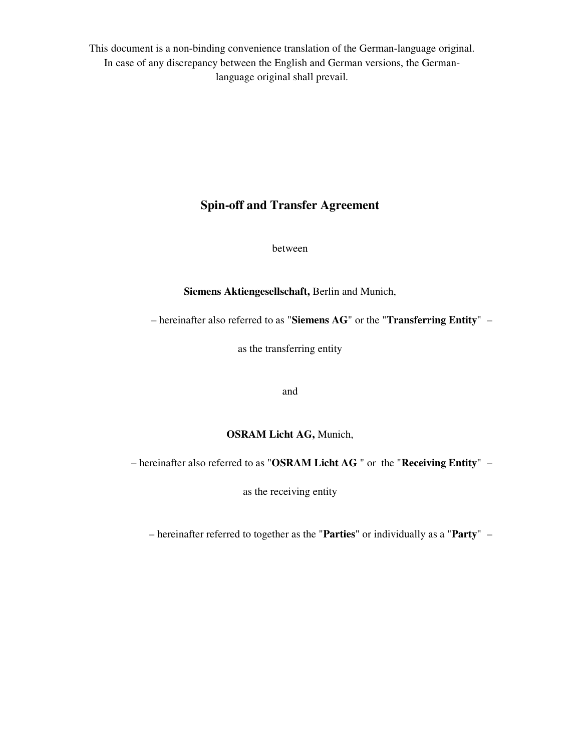This document is a non-binding convenience translation of the German-language original. In case of any discrepancy between the English and German versions, the Germanlanguage original shall prevail.

# **Spin-off and Transfer Agreement**

between

**Siemens Aktiengesellschaft,** Berlin and Munich,

– hereinafter also referred to as "**Siemens AG**" or the "**Transferring Entity**" –

as the transferring entity

and

#### **OSRAM Licht AG,** Munich,

– hereinafter also referred to as "**OSRAM Licht AG** " or the "**Receiving Entity**" –

as the receiving entity

– hereinafter referred to together as the "**Parties**" or individually as a "**Party**" –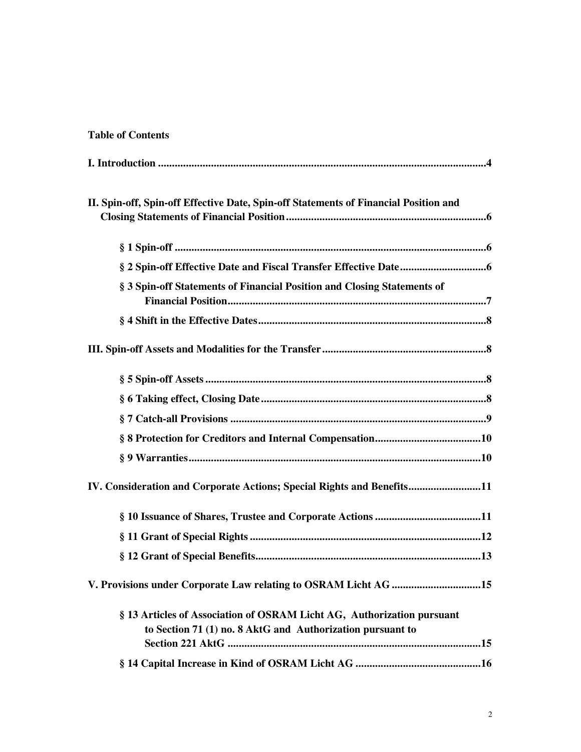# **Table of Contents**

| II. Spin-off, Spin-off Effective Date, Spin-off Statements of Financial Position and                                                 |  |  |  |  |
|--------------------------------------------------------------------------------------------------------------------------------------|--|--|--|--|
|                                                                                                                                      |  |  |  |  |
|                                                                                                                                      |  |  |  |  |
| § 3 Spin-off Statements of Financial Position and Closing Statements of                                                              |  |  |  |  |
|                                                                                                                                      |  |  |  |  |
|                                                                                                                                      |  |  |  |  |
|                                                                                                                                      |  |  |  |  |
|                                                                                                                                      |  |  |  |  |
|                                                                                                                                      |  |  |  |  |
|                                                                                                                                      |  |  |  |  |
|                                                                                                                                      |  |  |  |  |
| IV. Consideration and Corporate Actions; Special Rights and Benefits11                                                               |  |  |  |  |
|                                                                                                                                      |  |  |  |  |
|                                                                                                                                      |  |  |  |  |
|                                                                                                                                      |  |  |  |  |
| V. Provisions under Corporate Law relating to OSRAM Licht AG 15                                                                      |  |  |  |  |
| § 13 Articles of Association of OSRAM Licht AG, Authorization pursuant<br>to Section 71 (1) no. 8 AktG and Authorization pursuant to |  |  |  |  |
|                                                                                                                                      |  |  |  |  |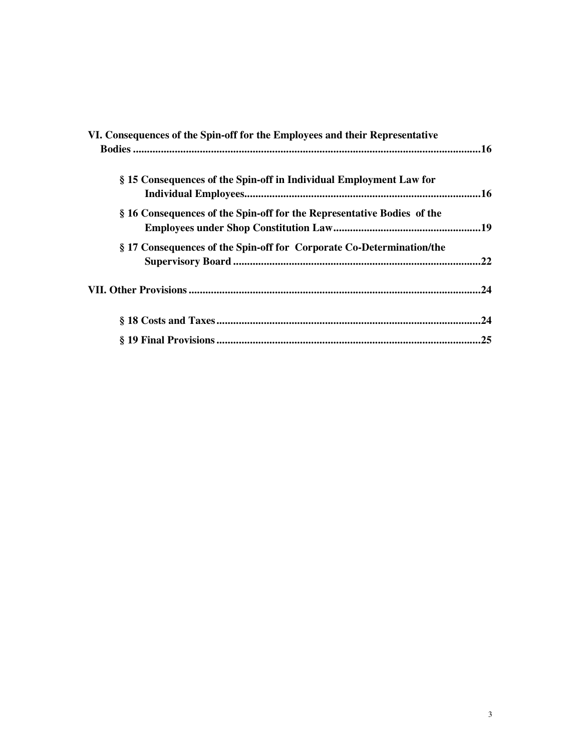| VI. Consequences of the Spin-off for the Employees and their Representative |     |
|-----------------------------------------------------------------------------|-----|
|                                                                             |     |
|                                                                             |     |
| § 15 Consequences of the Spin-off in Individual Employment Law for          |     |
|                                                                             |     |
| § 16 Consequences of the Spin-off for the Representative Bodies of the      |     |
|                                                                             |     |
| § 17 Consequences of the Spin-off for Corporate Co-Determination/the        |     |
|                                                                             | .22 |
|                                                                             | .24 |
|                                                                             |     |
|                                                                             | .24 |
|                                                                             | .25 |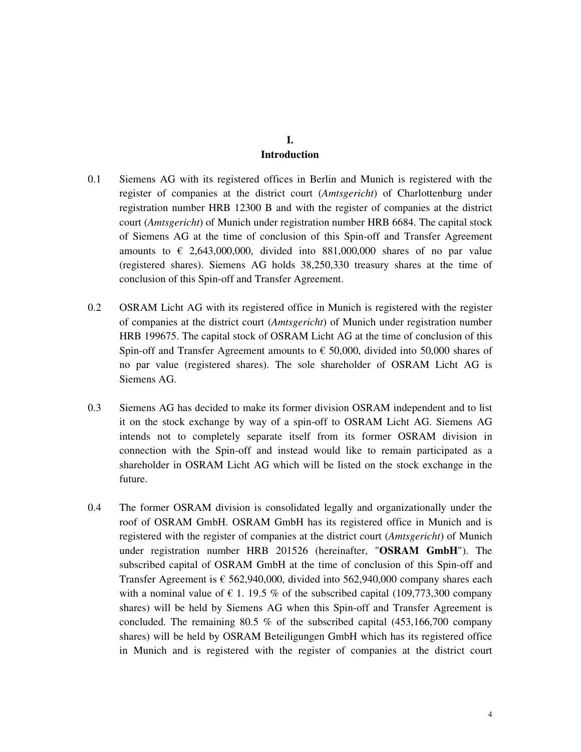# **I. Introduction**

- 0.1 Siemens AG with its registered offices in Berlin and Munich is registered with the register of companies at the district court (*Amtsgericht*) of Charlottenburg under registration number HRB 12300 B and with the register of companies at the district court (*Amtsgericht*) of Munich under registration number HRB 6684. The capital stock of Siemens AG at the time of conclusion of this Spin-off and Transfer Agreement amounts to  $\epsilon$  2,643,000,000, divided into 881,000,000 shares of no par value (registered shares). Siemens AG holds 38,250,330 treasury shares at the time of conclusion of this Spin-off and Transfer Agreement.
- 0.2 OSRAM Licht AG with its registered office in Munich is registered with the register of companies at the district court (*Amtsgericht*) of Munich under registration number HRB 199675. The capital stock of OSRAM Licht AG at the time of conclusion of this Spin-off and Transfer Agreement amounts to  $\epsilon$  50,000, divided into 50,000 shares of no par value (registered shares). The sole shareholder of OSRAM Licht AG is Siemens AG.
- 0.3 Siemens AG has decided to make its former division OSRAM independent and to list it on the stock exchange by way of a spin-off to OSRAM Licht AG. Siemens AG intends not to completely separate itself from its former OSRAM division in connection with the Spin-off and instead would like to remain participated as a shareholder in OSRAM Licht AG which will be listed on the stock exchange in the future.
- 0.4 The former OSRAM division is consolidated legally and organizationally under the roof of OSRAM GmbH. OSRAM GmbH has its registered office in Munich and is registered with the register of companies at the district court (*Amtsgericht*) of Munich under registration number HRB 201526 (hereinafter, "**OSRAM GmbH**"). The subscribed capital of OSRAM GmbH at the time of conclusion of this Spin-off and Transfer Agreement is  $\epsilon$  562,940,000, divided into 562,940,000 company shares each with a nominal value of  $\epsilon$  1. 19.5 % of the subscribed capital (109,773,300 company shares) will be held by Siemens AG when this Spin-off and Transfer Agreement is concluded. The remaining 80.5 % of the subscribed capital (453,166,700 company shares) will be held by OSRAM Beteiligungen GmbH which has its registered office in Munich and is registered with the register of companies at the district court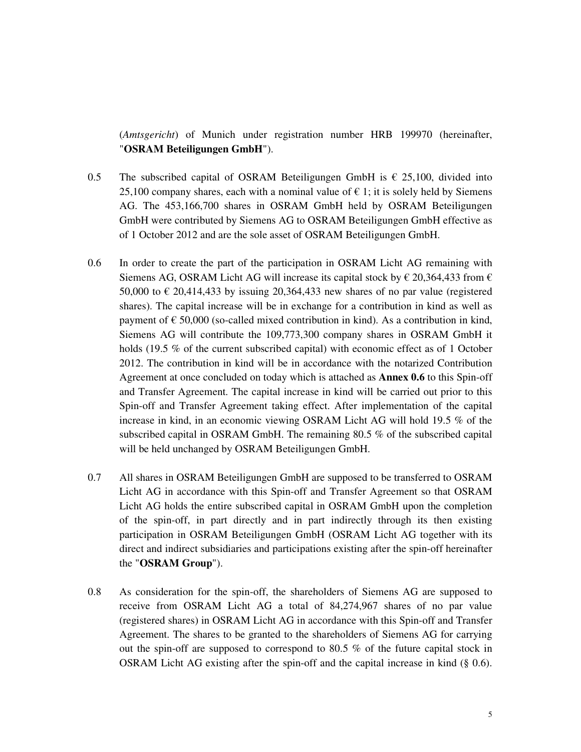(*Amtsgericht*) of Munich under registration number HRB 199970 (hereinafter, "**OSRAM Beteiligungen GmbH**").

- 0.5 The subscribed capital of OSRAM Beteiligungen GmbH is  $\epsilon$  25,100, divided into 25,100 company shares, each with a nominal value of  $\epsilon$  1; it is solely held by Siemens AG. The 453,166,700 shares in OSRAM GmbH held by OSRAM Beteiligungen GmbH were contributed by Siemens AG to OSRAM Beteiligungen GmbH effective as of 1 October 2012 and are the sole asset of OSRAM Beteiligungen GmbH.
- 0.6 In order to create the part of the participation in OSRAM Licht AG remaining with Siemens AG, OSRAM Licht AG will increase its capital stock by  $\epsilon$  20,364,433 from  $\epsilon$ 50,000 to  $\epsilon$  20,414,433 by issuing 20,364,433 new shares of no par value (registered shares). The capital increase will be in exchange for a contribution in kind as well as payment of  $\epsilon$  50,000 (so-called mixed contribution in kind). As a contribution in kind, Siemens AG will contribute the 109,773,300 company shares in OSRAM GmbH it holds (19.5 % of the current subscribed capital) with economic effect as of 1 October 2012. The contribution in kind will be in accordance with the notarized Contribution Agreement at once concluded on today which is attached as **Annex 0.6** to this Spin-off and Transfer Agreement. The capital increase in kind will be carried out prior to this Spin-off and Transfer Agreement taking effect. After implementation of the capital increase in kind, in an economic viewing OSRAM Licht AG will hold 19.5 % of the subscribed capital in OSRAM GmbH. The remaining 80.5 % of the subscribed capital will be held unchanged by OSRAM Beteiligungen GmbH.
- 0.7 All shares in OSRAM Beteiligungen GmbH are supposed to be transferred to OSRAM Licht AG in accordance with this Spin-off and Transfer Agreement so that OSRAM Licht AG holds the entire subscribed capital in OSRAM GmbH upon the completion of the spin-off, in part directly and in part indirectly through its then existing participation in OSRAM Beteiligungen GmbH (OSRAM Licht AG together with its direct and indirect subsidiaries and participations existing after the spin-off hereinafter the "**OSRAM Group**").
- 0.8 As consideration for the spin-off, the shareholders of Siemens AG are supposed to receive from OSRAM Licht AG a total of 84,274,967 shares of no par value (registered shares) in OSRAM Licht AG in accordance with this Spin-off and Transfer Agreement. The shares to be granted to the shareholders of Siemens AG for carrying out the spin-off are supposed to correspond to 80.5 % of the future capital stock in OSRAM Licht AG existing after the spin-off and the capital increase in kind (§ 0.6).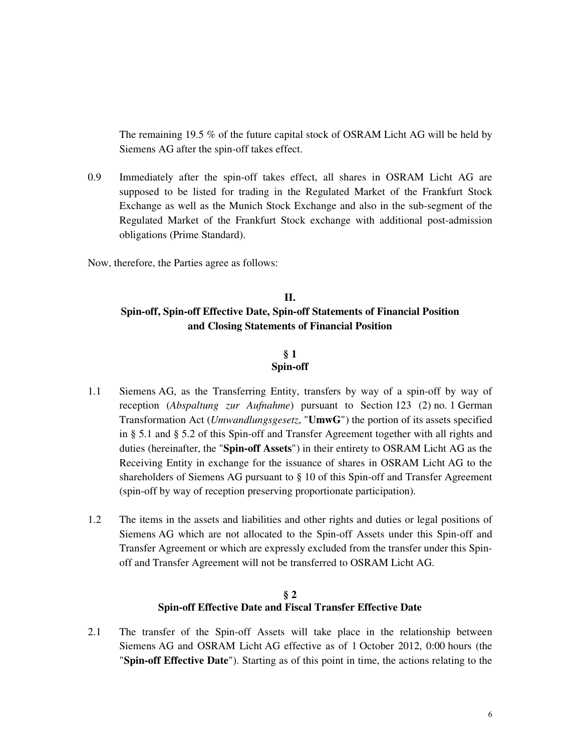The remaining 19.5 % of the future capital stock of OSRAM Licht AG will be held by Siemens AG after the spin-off takes effect.

0.9 Immediately after the spin-off takes effect, all shares in OSRAM Licht AG are supposed to be listed for trading in the Regulated Market of the Frankfurt Stock Exchange as well as the Munich Stock Exchange and also in the sub-segment of the Regulated Market of the Frankfurt Stock exchange with additional post-admission obligations (Prime Standard).

Now, therefore, the Parties agree as follows:

# **II. Spin-off, Spin-off Effective Date, Spin-off Statements of Financial Position and Closing Statements of Financial Position**

#### **§ 1 Spin-off**

- 1.1 Siemens AG, as the Transferring Entity, transfers by way of a spin-off by way of reception (*Abspaltung zur Aufnahme*) pursuant to Section 123 (2) no. 1 German Transformation Act (*Umwandlungsgesetz*, "**UmwG**") the portion of its assets specified in § 5.1 and § 5.2 of this Spin-off and Transfer Agreement together with all rights and duties (hereinafter, the "**Spin-off Assets**") in their entirety to OSRAM Licht AG as the Receiving Entity in exchange for the issuance of shares in OSRAM Licht AG to the shareholders of Siemens AG pursuant to § 10 of this Spin-off and Transfer Agreement (spin-off by way of reception preserving proportionate participation).
- 1.2 The items in the assets and liabilities and other rights and duties or legal positions of Siemens AG which are not allocated to the Spin-off Assets under this Spin-off and Transfer Agreement or which are expressly excluded from the transfer under this Spinoff and Transfer Agreement will not be transferred to OSRAM Licht AG.

#### **§ 2 Spin-off Effective Date and Fiscal Transfer Effective Date**

2.1 The transfer of the Spin-off Assets will take place in the relationship between Siemens AG and OSRAM Licht AG effective as of 1 October 2012, 0:00 hours (the "**Spin-off Effective Date**"). Starting as of this point in time, the actions relating to the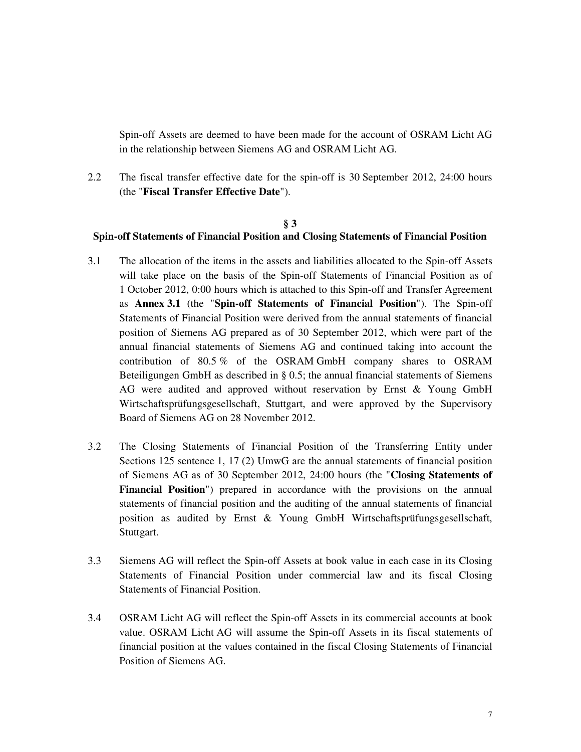Spin-off Assets are deemed to have been made for the account of OSRAM Licht AG in the relationship between Siemens AG and OSRAM Licht AG.

2.2 The fiscal transfer effective date for the spin-off is 30 September 2012, 24:00 hours (the "**Fiscal Transfer Effective Date**").

#### **§ 3**

## **Spin-off Statements of Financial Position and Closing Statements of Financial Position**

- 3.1 The allocation of the items in the assets and liabilities allocated to the Spin-off Assets will take place on the basis of the Spin-off Statements of Financial Position as of 1 October 2012, 0:00 hours which is attached to this Spin-off and Transfer Agreement as **Annex 3.1** (the "**Spin-off Statements of Financial Position**"). The Spin-off Statements of Financial Position were derived from the annual statements of financial position of Siemens AG prepared as of 30 September 2012, which were part of the annual financial statements of Siemens AG and continued taking into account the contribution of 80.5 % of the OSRAM GmbH company shares to OSRAM Beteiligungen GmbH as described in § 0.5; the annual financial statements of Siemens AG were audited and approved without reservation by Ernst & Young GmbH Wirtschaftsprüfungsgesellschaft, Stuttgart, and were approved by the Supervisory Board of Siemens AG on 28 November 2012.
- 3.2 The Closing Statements of Financial Position of the Transferring Entity under Sections 125 sentence 1, 17 (2) UmwG are the annual statements of financial position of Siemens AG as of 30 September 2012, 24:00 hours (the "**Closing Statements of Financial Position**") prepared in accordance with the provisions on the annual statements of financial position and the auditing of the annual statements of financial position as audited by Ernst & Young GmbH Wirtschaftsprüfungsgesellschaft, Stuttgart.
- 3.3 Siemens AG will reflect the Spin-off Assets at book value in each case in its Closing Statements of Financial Position under commercial law and its fiscal Closing Statements of Financial Position.
- 3.4 OSRAM Licht AG will reflect the Spin-off Assets in its commercial accounts at book value. OSRAM Licht AG will assume the Spin-off Assets in its fiscal statements of financial position at the values contained in the fiscal Closing Statements of Financial Position of Siemens AG.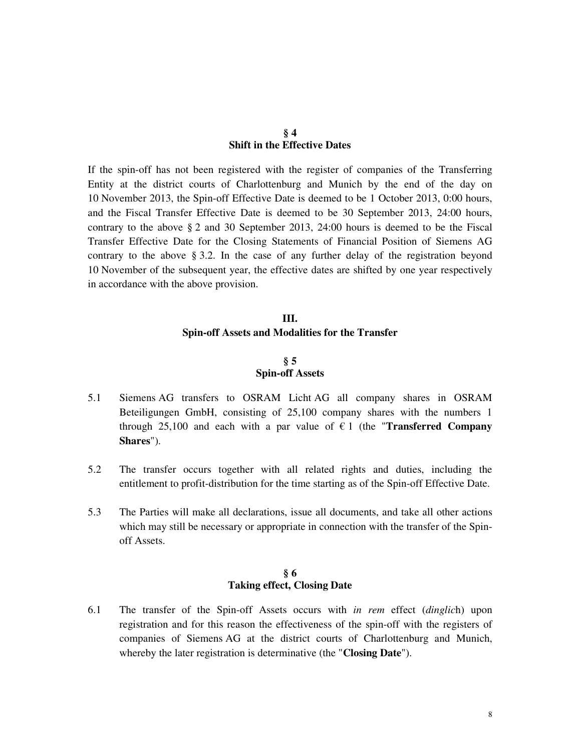#### **§ 4 Shift in the Effective Dates**

If the spin-off has not been registered with the register of companies of the Transferring Entity at the district courts of Charlottenburg and Munich by the end of the day on 10 November 2013, the Spin-off Effective Date is deemed to be 1 October 2013, 0:00 hours, and the Fiscal Transfer Effective Date is deemed to be 30 September 2013, 24:00 hours, contrary to the above § 2 and 30 September 2013, 24:00 hours is deemed to be the Fiscal Transfer Effective Date for the Closing Statements of Financial Position of Siemens AG contrary to the above § 3.2. In the case of any further delay of the registration beyond 10 November of the subsequent year, the effective dates are shifted by one year respectively in accordance with the above provision.

## **III. Spin-off Assets and Modalities for the Transfer**

#### **§ 5 Spin-off Assets**

- 5.1 Siemens AG transfers to OSRAM Licht AG all company shares in OSRAM Beteiligungen GmbH, consisting of 25,100 company shares with the numbers 1 through 25,100 and each with a par value of  $\epsilon$  1 (the "**Transferred Company Shares**").
- 5.2 The transfer occurs together with all related rights and duties, including the entitlement to profit-distribution for the time starting as of the Spin-off Effective Date.
- 5.3 The Parties will make all declarations, issue all documents, and take all other actions which may still be necessary or appropriate in connection with the transfer of the Spinoff Assets.

#### **§ 6 Taking effect, Closing Date**

6.1 The transfer of the Spin-off Assets occurs with *in rem* effect (*dinglic*h) upon registration and for this reason the effectiveness of the spin-off with the registers of companies of Siemens AG at the district courts of Charlottenburg and Munich, whereby the later registration is determinative (the "**Closing Date**").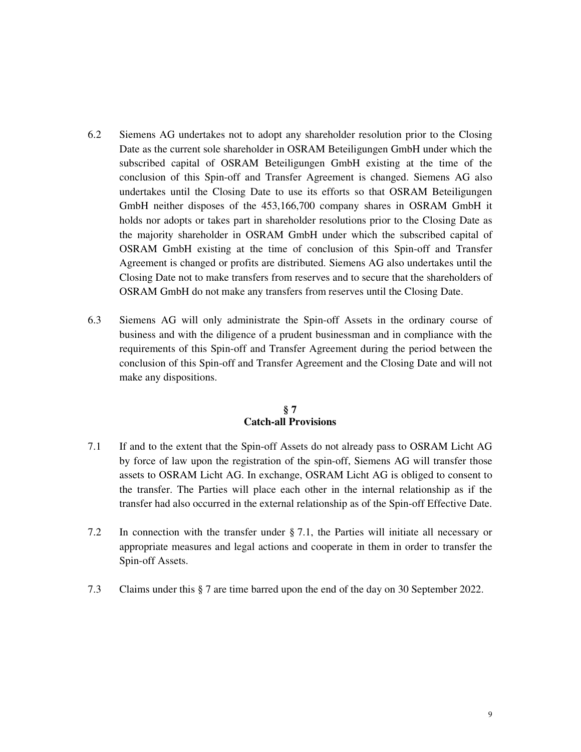- 6.2 Siemens AG undertakes not to adopt any shareholder resolution prior to the Closing Date as the current sole shareholder in OSRAM Beteiligungen GmbH under which the subscribed capital of OSRAM Beteiligungen GmbH existing at the time of the conclusion of this Spin-off and Transfer Agreement is changed. Siemens AG also undertakes until the Closing Date to use its efforts so that OSRAM Beteiligungen GmbH neither disposes of the 453,166,700 company shares in OSRAM GmbH it holds nor adopts or takes part in shareholder resolutions prior to the Closing Date as the majority shareholder in OSRAM GmbH under which the subscribed capital of OSRAM GmbH existing at the time of conclusion of this Spin-off and Transfer Agreement is changed or profits are distributed. Siemens AG also undertakes until the Closing Date not to make transfers from reserves and to secure that the shareholders of OSRAM GmbH do not make any transfers from reserves until the Closing Date.
- 6.3 Siemens AG will only administrate the Spin-off Assets in the ordinary course of business and with the diligence of a prudent businessman and in compliance with the requirements of this Spin-off and Transfer Agreement during the period between the conclusion of this Spin-off and Transfer Agreement and the Closing Date and will not make any dispositions.

#### **§ 7 Catch-all Provisions**

- 7.1 If and to the extent that the Spin-off Assets do not already pass to OSRAM Licht AG by force of law upon the registration of the spin-off, Siemens AG will transfer those assets to OSRAM Licht AG. In exchange, OSRAM Licht AG is obliged to consent to the transfer. The Parties will place each other in the internal relationship as if the transfer had also occurred in the external relationship as of the Spin-off Effective Date.
- 7.2 In connection with the transfer under § 7.1, the Parties will initiate all necessary or appropriate measures and legal actions and cooperate in them in order to transfer the Spin-off Assets.
- 7.3 Claims under this § 7 are time barred upon the end of the day on 30 September 2022.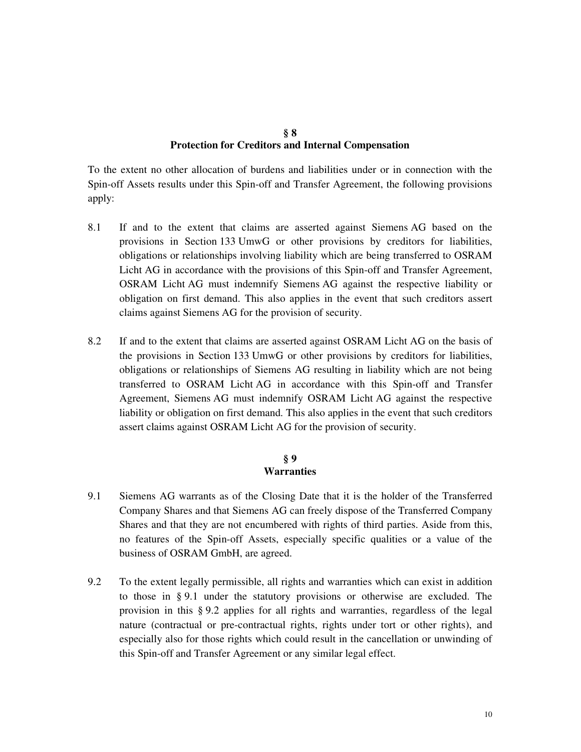#### **§ 8 Protection for Creditors and Internal Compensation**

To the extent no other allocation of burdens and liabilities under or in connection with the Spin-off Assets results under this Spin-off and Transfer Agreement, the following provisions apply:

- 8.1 If and to the extent that claims are asserted against Siemens AG based on the provisions in Section 133 UmwG or other provisions by creditors for liabilities, obligations or relationships involving liability which are being transferred to OSRAM Licht AG in accordance with the provisions of this Spin-off and Transfer Agreement, OSRAM Licht AG must indemnify Siemens AG against the respective liability or obligation on first demand. This also applies in the event that such creditors assert claims against Siemens AG for the provision of security.
- 8.2 If and to the extent that claims are asserted against OSRAM Licht AG on the basis of the provisions in Section 133 UmwG or other provisions by creditors for liabilities, obligations or relationships of Siemens AG resulting in liability which are not being transferred to OSRAM Licht AG in accordance with this Spin-off and Transfer Agreement, Siemens AG must indemnify OSRAM Licht AG against the respective liability or obligation on first demand. This also applies in the event that such creditors assert claims against OSRAM Licht AG for the provision of security.

#### **§ 9 Warranties**

- 9.1 Siemens AG warrants as of the Closing Date that it is the holder of the Transferred Company Shares and that Siemens AG can freely dispose of the Transferred Company Shares and that they are not encumbered with rights of third parties. Aside from this, no features of the Spin-off Assets, especially specific qualities or a value of the business of OSRAM GmbH, are agreed.
- 9.2 To the extent legally permissible, all rights and warranties which can exist in addition to those in § 9.1 under the statutory provisions or otherwise are excluded. The provision in this § 9.2 applies for all rights and warranties, regardless of the legal nature (contractual or pre-contractual rights, rights under tort or other rights), and especially also for those rights which could result in the cancellation or unwinding of this Spin-off and Transfer Agreement or any similar legal effect.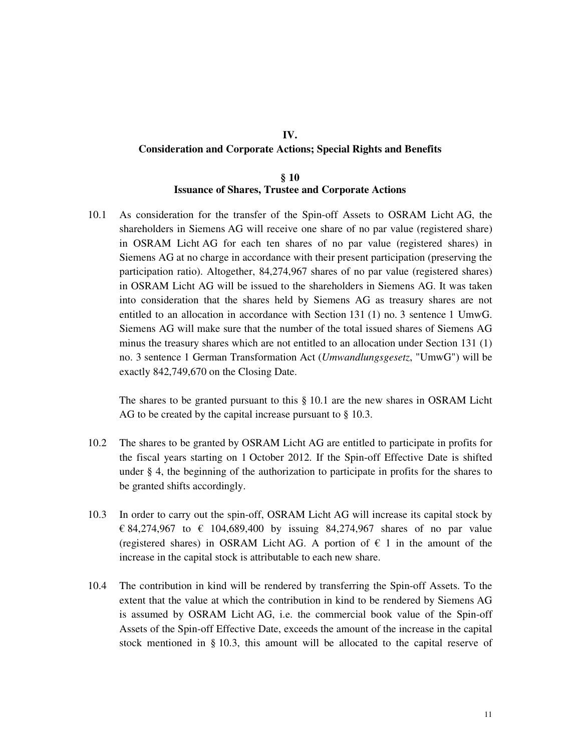# **IV. Consideration and Corporate Actions; Special Rights and Benefits**

## **§ 10 Issuance of Shares, Trustee and Corporate Actions**

10.1 As consideration for the transfer of the Spin-off Assets to OSRAM Licht AG, the shareholders in Siemens AG will receive one share of no par value (registered share) in OSRAM Licht AG for each ten shares of no par value (registered shares) in Siemens AG at no charge in accordance with their present participation (preserving the participation ratio). Altogether, 84,274,967 shares of no par value (registered shares) in OSRAM Licht AG will be issued to the shareholders in Siemens AG. It was taken into consideration that the shares held by Siemens AG as treasury shares are not entitled to an allocation in accordance with Section 131 (1) no. 3 sentence 1 UmwG. Siemens AG will make sure that the number of the total issued shares of Siemens AG minus the treasury shares which are not entitled to an allocation under Section 131 (1) no. 3 sentence 1 German Transformation Act (*Umwandlungsgesetz*, "UmwG") will be exactly 842,749,670 on the Closing Date.

The shares to be granted pursuant to this § 10.1 are the new shares in OSRAM Licht AG to be created by the capital increase pursuant to § 10.3.

- 10.2 The shares to be granted by OSRAM Licht AG are entitled to participate in profits for the fiscal years starting on 1 October 2012. If the Spin-off Effective Date is shifted under § 4, the beginning of the authorization to participate in profits for the shares to be granted shifts accordingly.
- 10.3 In order to carry out the spin-off, OSRAM Licht AG will increase its capital stock by € 84,274,967 to € 104,689,400 by issuing 84,274,967 shares of no par value (registered shares) in OSRAM Licht AG. A portion of  $\epsilon$  1 in the amount of the increase in the capital stock is attributable to each new share.
- 10.4 The contribution in kind will be rendered by transferring the Spin-off Assets. To the extent that the value at which the contribution in kind to be rendered by Siemens AG is assumed by OSRAM Licht AG, i.e. the commercial book value of the Spin-off Assets of the Spin-off Effective Date, exceeds the amount of the increase in the capital stock mentioned in § 10.3, this amount will be allocated to the capital reserve of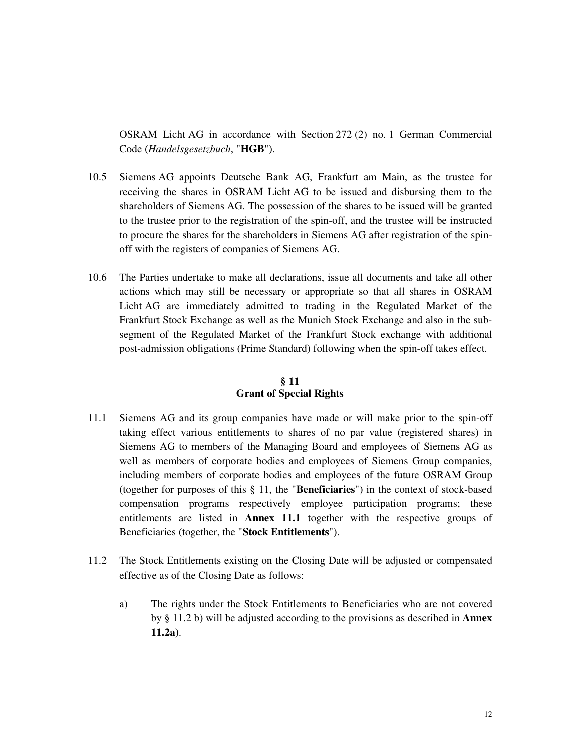OSRAM Licht AG in accordance with Section 272 (2) no. 1 German Commercial Code (*Handelsgesetzbuch*, "**HGB**").

- 10.5 Siemens AG appoints Deutsche Bank AG, Frankfurt am Main, as the trustee for receiving the shares in OSRAM Licht AG to be issued and disbursing them to the shareholders of Siemens AG. The possession of the shares to be issued will be granted to the trustee prior to the registration of the spin-off, and the trustee will be instructed to procure the shares for the shareholders in Siemens AG after registration of the spinoff with the registers of companies of Siemens AG.
- 10.6 The Parties undertake to make all declarations, issue all documents and take all other actions which may still be necessary or appropriate so that all shares in OSRAM Licht AG are immediately admitted to trading in the Regulated Market of the Frankfurt Stock Exchange as well as the Munich Stock Exchange and also in the subsegment of the Regulated Market of the Frankfurt Stock exchange with additional post-admission obligations (Prime Standard) following when the spin-off takes effect.

## **§ 11 Grant of Special Rights**

- 11.1 Siemens AG and its group companies have made or will make prior to the spin-off taking effect various entitlements to shares of no par value (registered shares) in Siemens AG to members of the Managing Board and employees of Siemens AG as well as members of corporate bodies and employees of Siemens Group companies, including members of corporate bodies and employees of the future OSRAM Group (together for purposes of this § 11, the "**Beneficiaries**") in the context of stock-based compensation programs respectively employee participation programs; these entitlements are listed in **Annex 11.1** together with the respective groups of Beneficiaries (together, the "**Stock Entitlements**").
- 11.2 The Stock Entitlements existing on the Closing Date will be adjusted or compensated effective as of the Closing Date as follows:
	- a) The rights under the Stock Entitlements to Beneficiaries who are not covered by § 11.2 b) will be adjusted according to the provisions as described in **Annex 11.2a)**.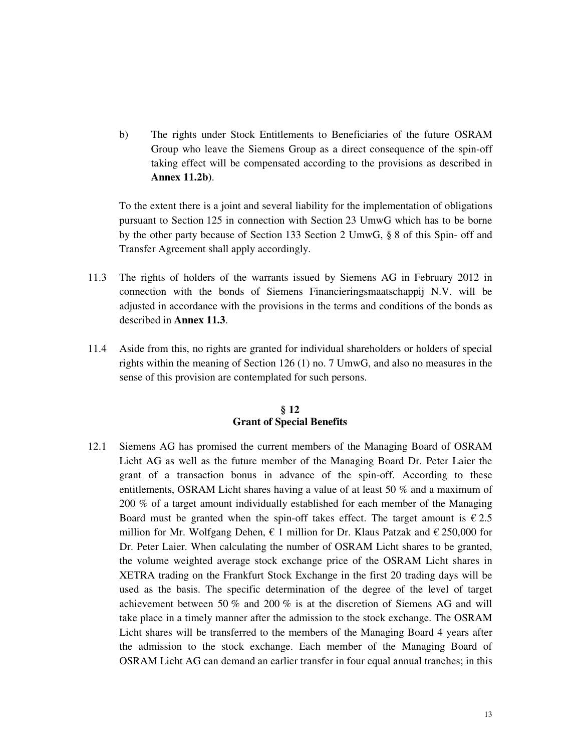b) The rights under Stock Entitlements to Beneficiaries of the future OSRAM Group who leave the Siemens Group as a direct consequence of the spin-off taking effect will be compensated according to the provisions as described in **Annex 11.2b)**.

 To the extent there is a joint and several liability for the implementation of obligations pursuant to Section 125 in connection with Section 23 UmwG which has to be borne by the other party because of Section 133 Section 2 UmwG, § 8 of this Spin- off and Transfer Agreement shall apply accordingly.

- 11.3 The rights of holders of the warrants issued by Siemens AG in February 2012 in connection with the bonds of Siemens Financieringsmaatschappij N.V. will be adjusted in accordance with the provisions in the terms and conditions of the bonds as described in **Annex 11.3**.
- 11.4 Aside from this, no rights are granted for individual shareholders or holders of special rights within the meaning of Section 126 (1) no. 7 UmwG, and also no measures in the sense of this provision are contemplated for such persons.

#### **§ 12 Grant of Special Benefits**

12.1 Siemens AG has promised the current members of the Managing Board of OSRAM Licht AG as well as the future member of the Managing Board Dr. Peter Laier the grant of a transaction bonus in advance of the spin-off. According to these entitlements, OSRAM Licht shares having a value of at least 50 % and a maximum of 200 % of a target amount individually established for each member of the Managing Board must be granted when the spin-off takes effect. The target amount is  $\epsilon$  2.5 million for Mr. Wolfgang Dehen,  $\epsilon$  1 million for Dr. Klaus Patzak and  $\epsilon$  250,000 for Dr. Peter Laier. When calculating the number of OSRAM Licht shares to be granted, the volume weighted average stock exchange price of the OSRAM Licht shares in XETRA trading on the Frankfurt Stock Exchange in the first 20 trading days will be used as the basis. The specific determination of the degree of the level of target achievement between 50 % and 200 % is at the discretion of Siemens AG and will take place in a timely manner after the admission to the stock exchange. The OSRAM Licht shares will be transferred to the members of the Managing Board 4 years after the admission to the stock exchange. Each member of the Managing Board of OSRAM Licht AG can demand an earlier transfer in four equal annual tranches; in this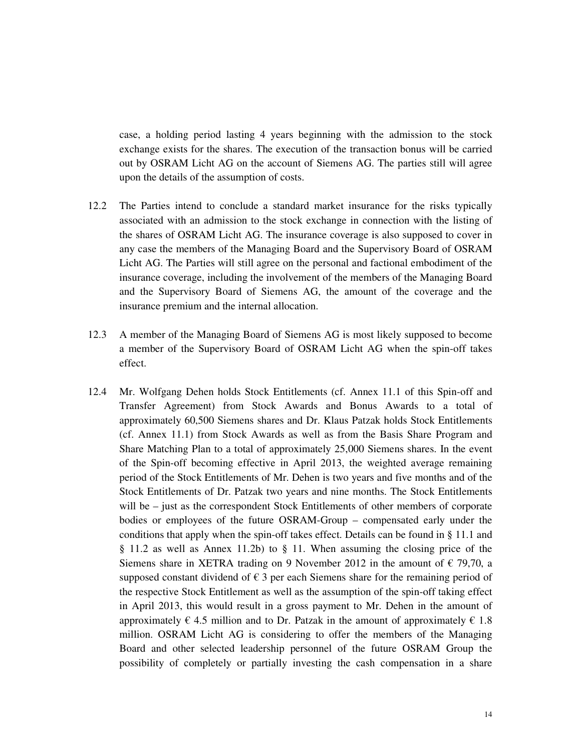case, a holding period lasting 4 years beginning with the admission to the stock exchange exists for the shares. The execution of the transaction bonus will be carried out by OSRAM Licht AG on the account of Siemens AG. The parties still will agree upon the details of the assumption of costs.

- 12.2 The Parties intend to conclude a standard market insurance for the risks typically associated with an admission to the stock exchange in connection with the listing of the shares of OSRAM Licht AG. The insurance coverage is also supposed to cover in any case the members of the Managing Board and the Supervisory Board of OSRAM Licht AG. The Parties will still agree on the personal and factional embodiment of the insurance coverage, including the involvement of the members of the Managing Board and the Supervisory Board of Siemens AG, the amount of the coverage and the insurance premium and the internal allocation.
- 12.3 A member of the Managing Board of Siemens AG is most likely supposed to become a member of the Supervisory Board of OSRAM Licht AG when the spin-off takes effect.
- 12.4 Mr. Wolfgang Dehen holds Stock Entitlements (cf. Annex 11.1 of this Spin-off and Transfer Agreement) from Stock Awards and Bonus Awards to a total of approximately 60,500 Siemens shares and Dr. Klaus Patzak holds Stock Entitlements (cf. Annex 11.1) from Stock Awards as well as from the Basis Share Program and Share Matching Plan to a total of approximately 25,000 Siemens shares. In the event of the Spin-off becoming effective in April 2013, the weighted average remaining period of the Stock Entitlements of Mr. Dehen is two years and five months and of the Stock Entitlements of Dr. Patzak two years and nine months. The Stock Entitlements will be – just as the correspondent Stock Entitlements of other members of corporate bodies or employees of the future OSRAM-Group – compensated early under the conditions that apply when the spin-off takes effect. Details can be found in § 11.1 and § 11.2 as well as Annex 11.2b) to § 11. When assuming the closing price of the Siemens share in XETRA trading on 9 November 2012 in the amount of  $\epsilon$  79,70, a supposed constant dividend of  $\epsilon$  3 per each Siemens share for the remaining period of the respective Stock Entitlement as well as the assumption of the spin-off taking effect in April 2013, this would result in a gross payment to Mr. Dehen in the amount of approximately  $\epsilon$  4.5 million and to Dr. Patzak in the amount of approximately  $\epsilon$  1.8 million. OSRAM Licht AG is considering to offer the members of the Managing Board and other selected leadership personnel of the future OSRAM Group the possibility of completely or partially investing the cash compensation in a share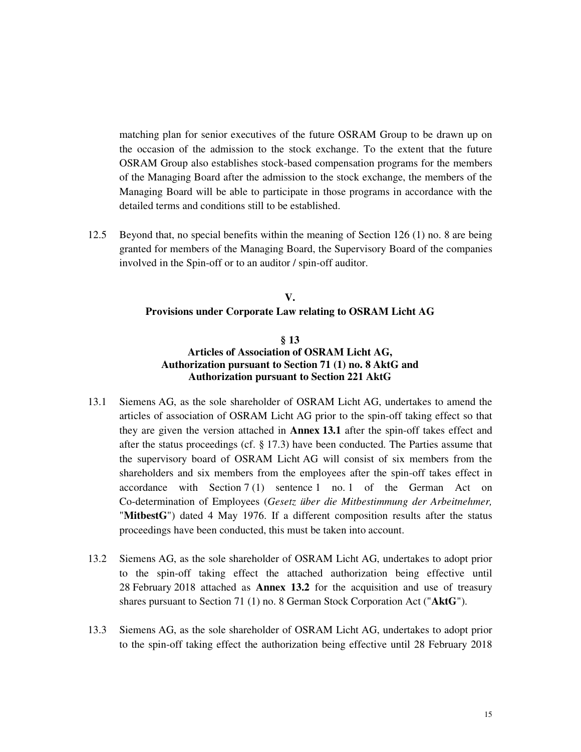matching plan for senior executives of the future OSRAM Group to be drawn up on the occasion of the admission to the stock exchange. To the extent that the future OSRAM Group also establishes stock-based compensation programs for the members of the Managing Board after the admission to the stock exchange, the members of the Managing Board will be able to participate in those programs in accordance with the detailed terms and conditions still to be established.

12.5 Beyond that, no special benefits within the meaning of Section 126 (1) no. 8 are being granted for members of the Managing Board, the Supervisory Board of the companies involved in the Spin-off or to an auditor / spin-off auditor.

# **V. Provisions under Corporate Law relating to OSRAM Licht AG**

#### **§ 13 Articles of Association of OSRAM Licht AG, Authorization pursuant to Section 71 (1) no. 8 AktG and Authorization pursuant to Section 221 AktG**

- 13.1 Siemens AG, as the sole shareholder of OSRAM Licht AG, undertakes to amend the articles of association of OSRAM Licht AG prior to the spin-off taking effect so that they are given the version attached in **Annex 13.1** after the spin-off takes effect and after the status proceedings (cf. § 17.3) have been conducted. The Parties assume that the supervisory board of OSRAM Licht AG will consist of six members from the shareholders and six members from the employees after the spin-off takes effect in accordance with Section 7 (1) sentence 1 no. 1 of the German Act on Co-determination of Employees (*Gesetz über die Mitbestimmung der Arbeitnehmer,*  "**MitbestG**") dated 4 May 1976. If a different composition results after the status proceedings have been conducted, this must be taken into account.
- 13.2 Siemens AG, as the sole shareholder of OSRAM Licht AG, undertakes to adopt prior to the spin-off taking effect the attached authorization being effective until 28 February 2018 attached as **Annex 13.2** for the acquisition and use of treasury shares pursuant to Section 71 (1) no. 8 German Stock Corporation Act ("**AktG**").
- 13.3 Siemens AG, as the sole shareholder of OSRAM Licht AG, undertakes to adopt prior to the spin-off taking effect the authorization being effective until 28 February 2018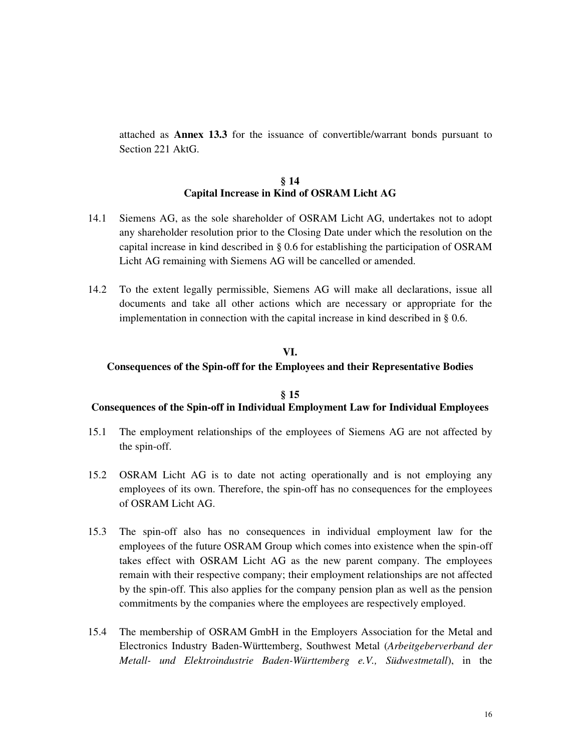attached as **Annex 13.3** for the issuance of convertible/warrant bonds pursuant to Section 221 AktG.

#### **§ 14 Capital Increase in Kind of OSRAM Licht AG**

- 14.1 Siemens AG, as the sole shareholder of OSRAM Licht AG, undertakes not to adopt any shareholder resolution prior to the Closing Date under which the resolution on the capital increase in kind described in § 0.6 for establishing the participation of OSRAM Licht AG remaining with Siemens AG will be cancelled or amended.
- 14.2 To the extent legally permissible, Siemens AG will make all declarations, issue all documents and take all other actions which are necessary or appropriate for the implementation in connection with the capital increase in kind described in § 0.6.

## **VI.**

#### **Consequences of the Spin-off for the Employees and their Representative Bodies**

#### **§ 15 Consequences of the Spin-off in Individual Employment Law for Individual Employees**

- 15.1 The employment relationships of the employees of Siemens AG are not affected by the spin-off.
- 15.2 OSRAM Licht AG is to date not acting operationally and is not employing any employees of its own. Therefore, the spin-off has no consequences for the employees of OSRAM Licht AG.
- 15.3 The spin-off also has no consequences in individual employment law for the employees of the future OSRAM Group which comes into existence when the spin-off takes effect with OSRAM Licht AG as the new parent company. The employees remain with their respective company; their employment relationships are not affected by the spin-off. This also applies for the company pension plan as well as the pension commitments by the companies where the employees are respectively employed.
- 15.4 The membership of OSRAM GmbH in the Employers Association for the Metal and Electronics Industry Baden-Württemberg, Southwest Metal (*Arbeitgeberverband der Metall- und Elektroindustrie Baden-Württemberg e.V., Südwestmetall*), in the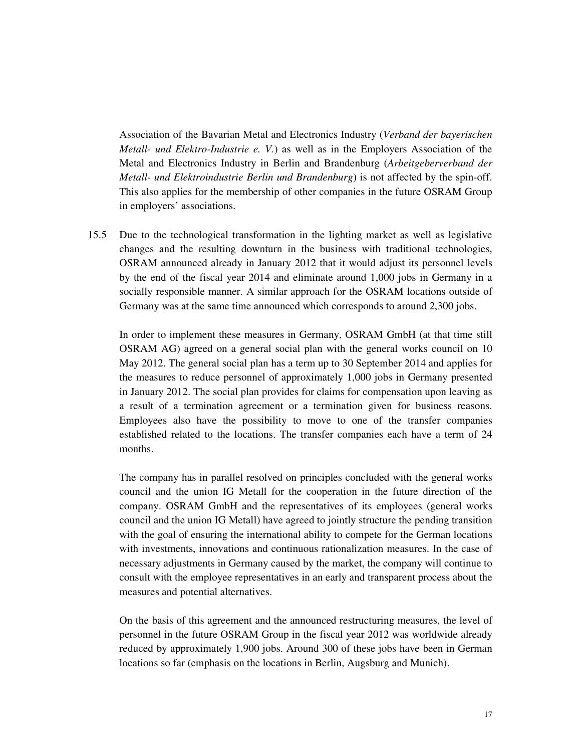Association of the Bavarian Metal and Electronics Industry (*Verband der bayerischen Metall- und Elektro-Industrie e. V.*) as well as in the Employers Association of the Metal and Electronics Industry in Berlin and Brandenburg (*Arbeitgeberverband der Metall- und Elektroindustrie Berlin und Brandenburg*) is not affected by the spin-off. This also applies for the membership of other companies in the future OSRAM Group in employers' associations.

15.5 Due to the technological transformation in the lighting market as well as legislative changes and the resulting downturn in the business with traditional technologies, OSRAM announced already in January 2012 that it would adjust its personnel levels by the end of the fiscal year 2014 and eliminate around 1,000 jobs in Germany in a socially responsible manner. A similar approach for the OSRAM locations outside of Germany was at the same time announced which corresponds to around 2,300 jobs.

In order to implement these measures in Germany, OSRAM GmbH (at that time still OSRAM AG) agreed on a general social plan with the general works council on 10 May 2012. The general social plan has a term up to 30 September 2014 and applies for the measures to reduce personnel of approximately 1,000 jobs in Germany presented in January 2012. The social plan provides for claims for compensation upon leaving as a result of a termination agreement or a termination given for business reasons. Employees also have the possibility to move to one of the transfer companies established related to the locations. The transfer companies each have a term of 24 months.

The company has in parallel resolved on principles concluded with the general works council and the union IG Metall for the cooperation in the future direction of the company. OSRAM GmbH and the representatives of its employees (general works council and the union IG Metall) have agreed to jointly structure the pending transition with the goal of ensuring the international ability to compete for the German locations with investments, innovations and continuous rationalization measures. In the case of necessary adjustments in Germany caused by the market, the company will continue to consult with the employee representatives in an early and transparent process about the measures and potential alternatives.

On the basis of this agreement and the announced restructuring measures, the level of personnel in the future OSRAM Group in the fiscal year 2012 was worldwide already reduced by approximately 1,900 jobs. Around 300 of these jobs have been in German locations so far (emphasis on the locations in Berlin, Augsburg and Munich).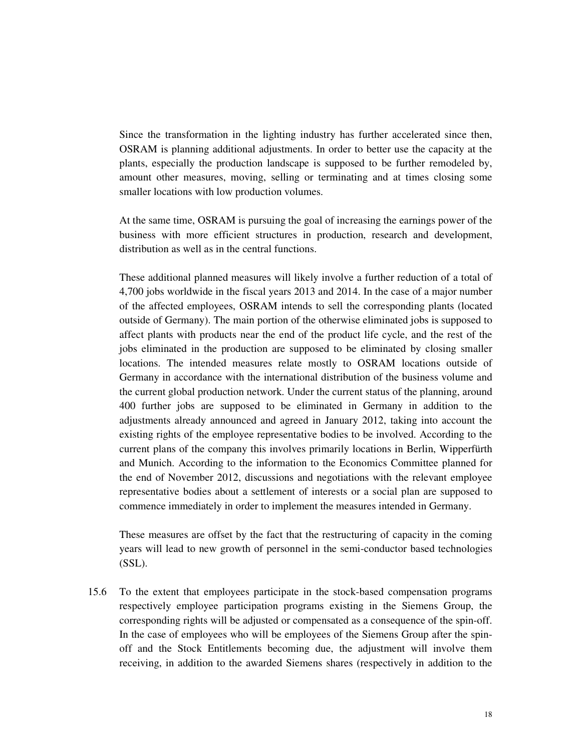Since the transformation in the lighting industry has further accelerated since then, OSRAM is planning additional adjustments. In order to better use the capacity at the plants, especially the production landscape is supposed to be further remodeled by, amount other measures, moving, selling or terminating and at times closing some smaller locations with low production volumes.

At the same time, OSRAM is pursuing the goal of increasing the earnings power of the business with more efficient structures in production, research and development, distribution as well as in the central functions.

These additional planned measures will likely involve a further reduction of a total of 4,700 jobs worldwide in the fiscal years 2013 and 2014. In the case of a major number of the affected employees, OSRAM intends to sell the corresponding plants (located outside of Germany). The main portion of the otherwise eliminated jobs is supposed to affect plants with products near the end of the product life cycle, and the rest of the jobs eliminated in the production are supposed to be eliminated by closing smaller locations. The intended measures relate mostly to OSRAM locations outside of Germany in accordance with the international distribution of the business volume and the current global production network. Under the current status of the planning, around 400 further jobs are supposed to be eliminated in Germany in addition to the adjustments already announced and agreed in January 2012, taking into account the existing rights of the employee representative bodies to be involved. According to the current plans of the company this involves primarily locations in Berlin, Wipperfürth and Munich. According to the information to the Economics Committee planned for the end of November 2012, discussions and negotiations with the relevant employee representative bodies about a settlement of interests or a social plan are supposed to commence immediately in order to implement the measures intended in Germany.

These measures are offset by the fact that the restructuring of capacity in the coming years will lead to new growth of personnel in the semi-conductor based technologies (SSL).

15.6 To the extent that employees participate in the stock-based compensation programs respectively employee participation programs existing in the Siemens Group, the corresponding rights will be adjusted or compensated as a consequence of the spin-off. In the case of employees who will be employees of the Siemens Group after the spinoff and the Stock Entitlements becoming due, the adjustment will involve them receiving, in addition to the awarded Siemens shares (respectively in addition to the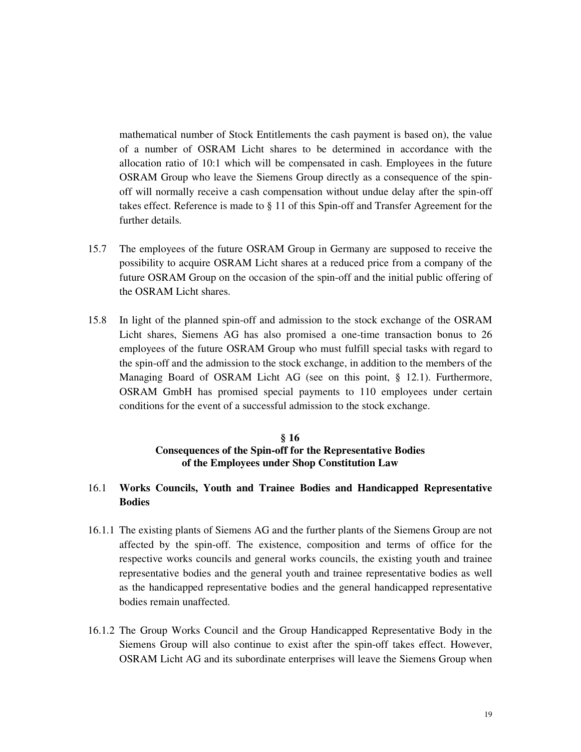mathematical number of Stock Entitlements the cash payment is based on), the value of a number of OSRAM Licht shares to be determined in accordance with the allocation ratio of 10:1 which will be compensated in cash. Employees in the future OSRAM Group who leave the Siemens Group directly as a consequence of the spinoff will normally receive a cash compensation without undue delay after the spin-off takes effect. Reference is made to § 11 of this Spin-off and Transfer Agreement for the further details.

- 15.7 The employees of the future OSRAM Group in Germany are supposed to receive the possibility to acquire OSRAM Licht shares at a reduced price from a company of the future OSRAM Group on the occasion of the spin-off and the initial public offering of the OSRAM Licht shares.
- 15.8 In light of the planned spin-off and admission to the stock exchange of the OSRAM Licht shares, Siemens AG has also promised a one-time transaction bonus to 26 employees of the future OSRAM Group who must fulfill special tasks with regard to the spin-off and the admission to the stock exchange, in addition to the members of the Managing Board of OSRAM Licht AG (see on this point, § 12.1). Furthermore, OSRAM GmbH has promised special payments to 110 employees under certain conditions for the event of a successful admission to the stock exchange.

## **§ 16 Consequences of the Spin-off for the Representative Bodies of the Employees under Shop Constitution Law**

## 16.1 **Works Councils, Youth and Trainee Bodies and Handicapped Representative Bodies**

- 16.1.1 The existing plants of Siemens AG and the further plants of the Siemens Group are not affected by the spin-off. The existence, composition and terms of office for the respective works councils and general works councils, the existing youth and trainee representative bodies and the general youth and trainee representative bodies as well as the handicapped representative bodies and the general handicapped representative bodies remain unaffected.
- 16.1.2 The Group Works Council and the Group Handicapped Representative Body in the Siemens Group will also continue to exist after the spin-off takes effect. However, OSRAM Licht AG and its subordinate enterprises will leave the Siemens Group when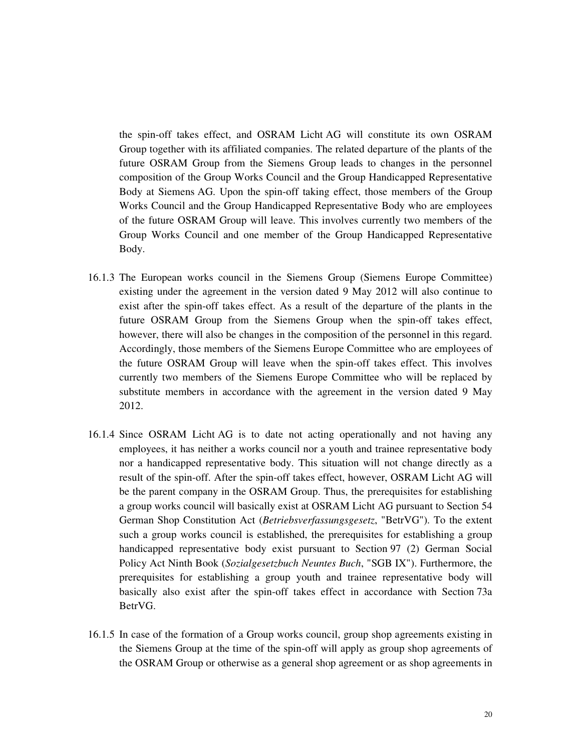the spin-off takes effect, and OSRAM Licht AG will constitute its own OSRAM Group together with its affiliated companies. The related departure of the plants of the future OSRAM Group from the Siemens Group leads to changes in the personnel composition of the Group Works Council and the Group Handicapped Representative Body at Siemens AG. Upon the spin-off taking effect, those members of the Group Works Council and the Group Handicapped Representative Body who are employees of the future OSRAM Group will leave. This involves currently two members of the Group Works Council and one member of the Group Handicapped Representative Body.

- 16.1.3 The European works council in the Siemens Group (Siemens Europe Committee) existing under the agreement in the version dated 9 May 2012 will also continue to exist after the spin-off takes effect. As a result of the departure of the plants in the future OSRAM Group from the Siemens Group when the spin-off takes effect, however, there will also be changes in the composition of the personnel in this regard. Accordingly, those members of the Siemens Europe Committee who are employees of the future OSRAM Group will leave when the spin-off takes effect. This involves currently two members of the Siemens Europe Committee who will be replaced by substitute members in accordance with the agreement in the version dated 9 May 2012.
- 16.1.4 Since OSRAM Licht AG is to date not acting operationally and not having any employees, it has neither a works council nor a youth and trainee representative body nor a handicapped representative body. This situation will not change directly as a result of the spin-off. After the spin-off takes effect, however, OSRAM Licht AG will be the parent company in the OSRAM Group. Thus, the prerequisites for establishing a group works council will basically exist at OSRAM Licht AG pursuant to Section 54 German Shop Constitution Act (*Betriebsverfassungsgesetz*, "BetrVG"). To the extent such a group works council is established, the prerequisites for establishing a group handicapped representative body exist pursuant to Section 97 (2) German Social Policy Act Ninth Book (*Sozialgesetzbuch Neuntes Buch*, "SGB IX"). Furthermore, the prerequisites for establishing a group youth and trainee representative body will basically also exist after the spin-off takes effect in accordance with Section 73a BetrVG.
- 16.1.5 In case of the formation of a Group works council, group shop agreements existing in the Siemens Group at the time of the spin-off will apply as group shop agreements of the OSRAM Group or otherwise as a general shop agreement or as shop agreements in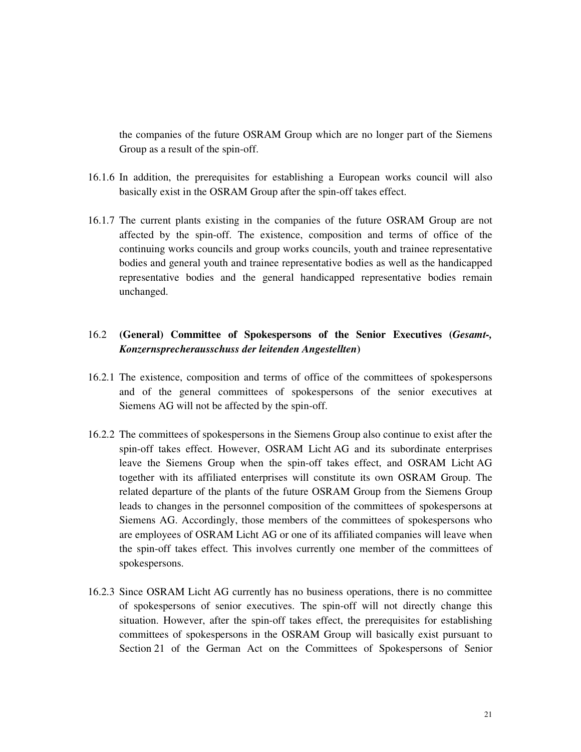the companies of the future OSRAM Group which are no longer part of the Siemens Group as a result of the spin-off.

- 16.1.6 In addition, the prerequisites for establishing a European works council will also basically exist in the OSRAM Group after the spin-off takes effect.
- 16.1.7 The current plants existing in the companies of the future OSRAM Group are not affected by the spin-off. The existence, composition and terms of office of the continuing works councils and group works councils, youth and trainee representative bodies and general youth and trainee representative bodies as well as the handicapped representative bodies and the general handicapped representative bodies remain unchanged.

# 16.2 **(General) Committee of Spokespersons of the Senior Executives (***Gesamt-, Konzernsprecherausschuss der leitenden Angestellten***)**

- 16.2.1 The existence, composition and terms of office of the committees of spokespersons and of the general committees of spokespersons of the senior executives at Siemens AG will not be affected by the spin-off.
- 16.2.2 The committees of spokespersons in the Siemens Group also continue to exist after the spin-off takes effect. However, OSRAM Licht AG and its subordinate enterprises leave the Siemens Group when the spin-off takes effect, and OSRAM Licht AG together with its affiliated enterprises will constitute its own OSRAM Group. The related departure of the plants of the future OSRAM Group from the Siemens Group leads to changes in the personnel composition of the committees of spokespersons at Siemens AG. Accordingly, those members of the committees of spokespersons who are employees of OSRAM Licht AG or one of its affiliated companies will leave when the spin-off takes effect. This involves currently one member of the committees of spokespersons.
- 16.2.3 Since OSRAM Licht AG currently has no business operations, there is no committee of spokespersons of senior executives. The spin-off will not directly change this situation. However, after the spin-off takes effect, the prerequisites for establishing committees of spokespersons in the OSRAM Group will basically exist pursuant to Section 21 of the German Act on the Committees of Spokespersons of Senior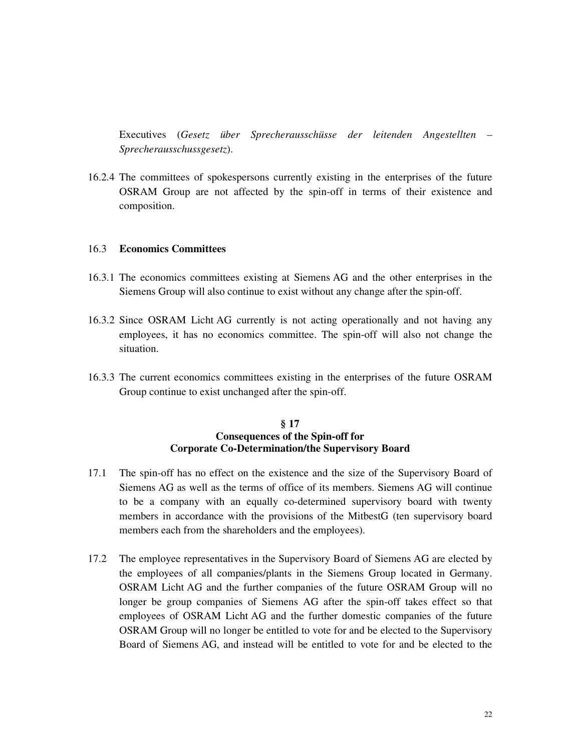Executives (*Gesetz über Sprecherausschüsse der leitenden Angestellten – Sprecherausschussgesetz*).

16.2.4 The committees of spokespersons currently existing in the enterprises of the future OSRAM Group are not affected by the spin-off in terms of their existence and composition.

#### 16.3 **Economics Committees**

- 16.3.1 The economics committees existing at Siemens AG and the other enterprises in the Siemens Group will also continue to exist without any change after the spin-off.
- 16.3.2 Since OSRAM Licht AG currently is not acting operationally and not having any employees, it has no economics committee. The spin-off will also not change the situation.
- 16.3.3 The current economics committees existing in the enterprises of the future OSRAM Group continue to exist unchanged after the spin-off.

#### **§ 17 Consequences of the Spin-off for Corporate Co-Determination/the Supervisory Board**

- 17.1 The spin-off has no effect on the existence and the size of the Supervisory Board of Siemens AG as well as the terms of office of its members. Siemens AG will continue to be a company with an equally co-determined supervisory board with twenty members in accordance with the provisions of the MitbestG (ten supervisory board members each from the shareholders and the employees).
- 17.2 The employee representatives in the Supervisory Board of Siemens AG are elected by the employees of all companies/plants in the Siemens Group located in Germany. OSRAM Licht AG and the further companies of the future OSRAM Group will no longer be group companies of Siemens AG after the spin-off takes effect so that employees of OSRAM Licht AG and the further domestic companies of the future OSRAM Group will no longer be entitled to vote for and be elected to the Supervisory Board of Siemens AG, and instead will be entitled to vote for and be elected to the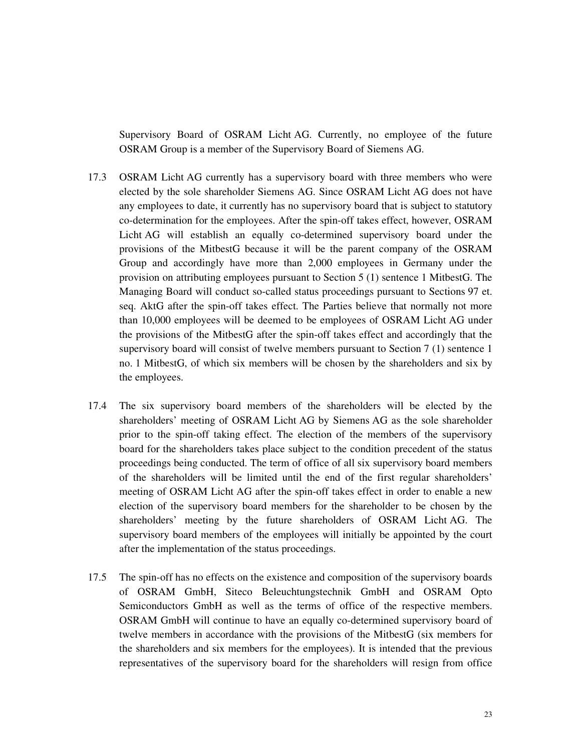Supervisory Board of OSRAM Licht AG. Currently, no employee of the future OSRAM Group is a member of the Supervisory Board of Siemens AG.

- 17.3 OSRAM Licht AG currently has a supervisory board with three members who were elected by the sole shareholder Siemens AG. Since OSRAM Licht AG does not have any employees to date, it currently has no supervisory board that is subject to statutory co-determination for the employees. After the spin-off takes effect, however, OSRAM Licht AG will establish an equally co-determined supervisory board under the provisions of the MitbestG because it will be the parent company of the OSRAM Group and accordingly have more than 2,000 employees in Germany under the provision on attributing employees pursuant to Section 5 (1) sentence 1 MitbestG. The Managing Board will conduct so-called status proceedings pursuant to Sections 97 et. seq. AktG after the spin-off takes effect. The Parties believe that normally not more than 10,000 employees will be deemed to be employees of OSRAM Licht AG under the provisions of the MitbestG after the spin-off takes effect and accordingly that the supervisory board will consist of twelve members pursuant to Section 7 (1) sentence 1 no. 1 MitbestG, of which six members will be chosen by the shareholders and six by the employees.
- 17.4 The six supervisory board members of the shareholders will be elected by the shareholders' meeting of OSRAM Licht AG by Siemens AG as the sole shareholder prior to the spin-off taking effect. The election of the members of the supervisory board for the shareholders takes place subject to the condition precedent of the status proceedings being conducted. The term of office of all six supervisory board members of the shareholders will be limited until the end of the first regular shareholders' meeting of OSRAM Licht AG after the spin-off takes effect in order to enable a new election of the supervisory board members for the shareholder to be chosen by the shareholders' meeting by the future shareholders of OSRAM Licht AG. The supervisory board members of the employees will initially be appointed by the court after the implementation of the status proceedings.
- 17.5 The spin-off has no effects on the existence and composition of the supervisory boards of OSRAM GmbH, Siteco Beleuchtungstechnik GmbH and OSRAM Opto Semiconductors GmbH as well as the terms of office of the respective members. OSRAM GmbH will continue to have an equally co-determined supervisory board of twelve members in accordance with the provisions of the MitbestG (six members for the shareholders and six members for the employees). It is intended that the previous representatives of the supervisory board for the shareholders will resign from office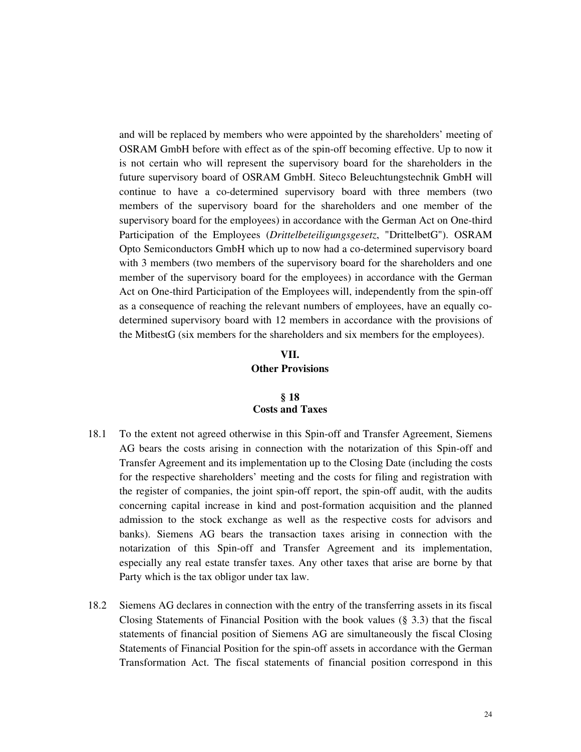and will be replaced by members who were appointed by the shareholders' meeting of OSRAM GmbH before with effect as of the spin-off becoming effective. Up to now it is not certain who will represent the supervisory board for the shareholders in the future supervisory board of OSRAM GmbH. Siteco Beleuchtungstechnik GmbH will continue to have a co-determined supervisory board with three members (two members of the supervisory board for the shareholders and one member of the supervisory board for the employees) in accordance with the German Act on One-third Participation of the Employees (*Drittelbeteiligungsgesetz*, "DrittelbetG"). OSRAM Opto Semiconductors GmbH which up to now had a co-determined supervisory board with 3 members (two members of the supervisory board for the shareholders and one member of the supervisory board for the employees) in accordance with the German Act on One-third Participation of the Employees will, independently from the spin-off as a consequence of reaching the relevant numbers of employees, have an equally codetermined supervisory board with 12 members in accordance with the provisions of the MitbestG (six members for the shareholders and six members for the employees).

# **VII. Other Provisions**

## **§ 18 Costs and Taxes**

- 18.1 To the extent not agreed otherwise in this Spin-off and Transfer Agreement, Siemens AG bears the costs arising in connection with the notarization of this Spin-off and Transfer Agreement and its implementation up to the Closing Date (including the costs for the respective shareholders' meeting and the costs for filing and registration with the register of companies, the joint spin-off report, the spin-off audit, with the audits concerning capital increase in kind and post-formation acquisition and the planned admission to the stock exchange as well as the respective costs for advisors and banks). Siemens AG bears the transaction taxes arising in connection with the notarization of this Spin-off and Transfer Agreement and its implementation, especially any real estate transfer taxes. Any other taxes that arise are borne by that Party which is the tax obligor under tax law.
- 18.2 Siemens AG declares in connection with the entry of the transferring assets in its fiscal Closing Statements of Financial Position with the book values (§ 3.3) that the fiscal statements of financial position of Siemens AG are simultaneously the fiscal Closing Statements of Financial Position for the spin-off assets in accordance with the German Transformation Act. The fiscal statements of financial position correspond in this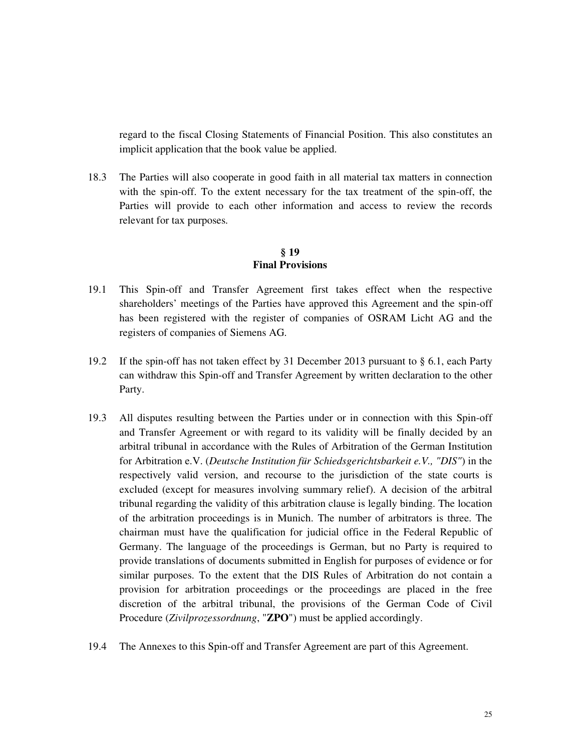regard to the fiscal Closing Statements of Financial Position. This also constitutes an implicit application that the book value be applied.

18.3 The Parties will also cooperate in good faith in all material tax matters in connection with the spin-off. To the extent necessary for the tax treatment of the spin-off, the Parties will provide to each other information and access to review the records relevant for tax purposes.

#### **§ 19 Final Provisions**

- 19.1 This Spin-off and Transfer Agreement first takes effect when the respective shareholders' meetings of the Parties have approved this Agreement and the spin-off has been registered with the register of companies of OSRAM Licht AG and the registers of companies of Siemens AG.
- 19.2 If the spin-off has not taken effect by 31 December 2013 pursuant to § 6.1, each Party can withdraw this Spin-off and Transfer Agreement by written declaration to the other Party.
- 19.3 All disputes resulting between the Parties under or in connection with this Spin-off and Transfer Agreement or with regard to its validity will be finally decided by an arbitral tribunal in accordance with the Rules of Arbitration of the German Institution for Arbitration e.V. (*Deutsche Institution für Schiedsgerichtsbarkeit e.V., "DIS"*) in the respectively valid version, and recourse to the jurisdiction of the state courts is excluded (except for measures involving summary relief). A decision of the arbitral tribunal regarding the validity of this arbitration clause is legally binding. The location of the arbitration proceedings is in Munich. The number of arbitrators is three. The chairman must have the qualification for judicial office in the Federal Republic of Germany. The language of the proceedings is German, but no Party is required to provide translations of documents submitted in English for purposes of evidence or for similar purposes. To the extent that the DIS Rules of Arbitration do not contain a provision for arbitration proceedings or the proceedings are placed in the free discretion of the arbitral tribunal, the provisions of the German Code of Civil Procedure (*Zivilprozessordnung*, "**ZPO**") must be applied accordingly.
- 19.4 The Annexes to this Spin-off and Transfer Agreement are part of this Agreement.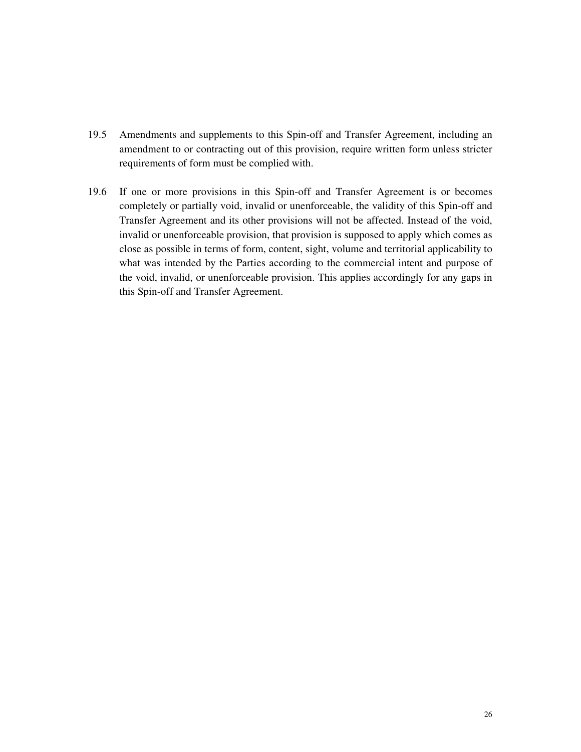- 19.5 Amendments and supplements to this Spin-off and Transfer Agreement, including an amendment to or contracting out of this provision, require written form unless stricter requirements of form must be complied with.
- 19.6 If one or more provisions in this Spin-off and Transfer Agreement is or becomes completely or partially void, invalid or unenforceable, the validity of this Spin-off and Transfer Agreement and its other provisions will not be affected. Instead of the void, invalid or unenforceable provision, that provision is supposed to apply which comes as close as possible in terms of form, content, sight, volume and territorial applicability to what was intended by the Parties according to the commercial intent and purpose of the void, invalid, or unenforceable provision. This applies accordingly for any gaps in this Spin-off and Transfer Agreement.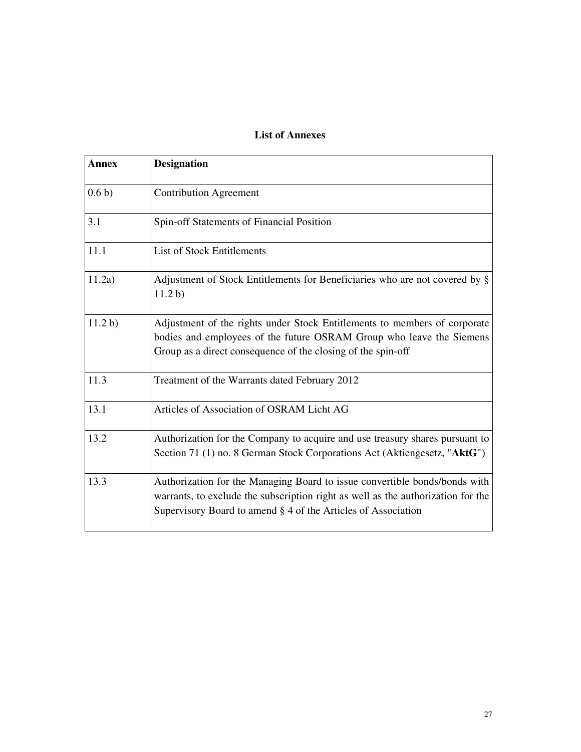# **List of Annexes**

| <b>Annex</b>     | <b>Designation</b>                                                                                                                                                                                                              |
|------------------|---------------------------------------------------------------------------------------------------------------------------------------------------------------------------------------------------------------------------------|
| 0.6 <sub>b</sub> | <b>Contribution Agreement</b>                                                                                                                                                                                                   |
| 3.1              | Spin-off Statements of Financial Position                                                                                                                                                                                       |
| 11.1             | <b>List of Stock Entitlements</b>                                                                                                                                                                                               |
| 11.2a)           | Adjustment of Stock Entitlements for Beneficiaries who are not covered by §<br>11.2 b)                                                                                                                                          |
| 11.2 b)          | Adjustment of the rights under Stock Entitlements to members of corporate<br>bodies and employees of the future OSRAM Group who leave the Siemens<br>Group as a direct consequence of the closing of the spin-off               |
| 11.3             | Treatment of the Warrants dated February 2012                                                                                                                                                                                   |
| 13.1             | Articles of Association of OSRAM Licht AG                                                                                                                                                                                       |
| 13.2             | Authorization for the Company to acquire and use treasury shares pursuant to<br>Section 71 (1) no. 8 German Stock Corporations Act (Aktiengesetz, "AktG")                                                                       |
| 13.3             | Authorization for the Managing Board to issue convertible bonds/bonds with<br>warrants, to exclude the subscription right as well as the authorization for the<br>Supervisory Board to amend § 4 of the Articles of Association |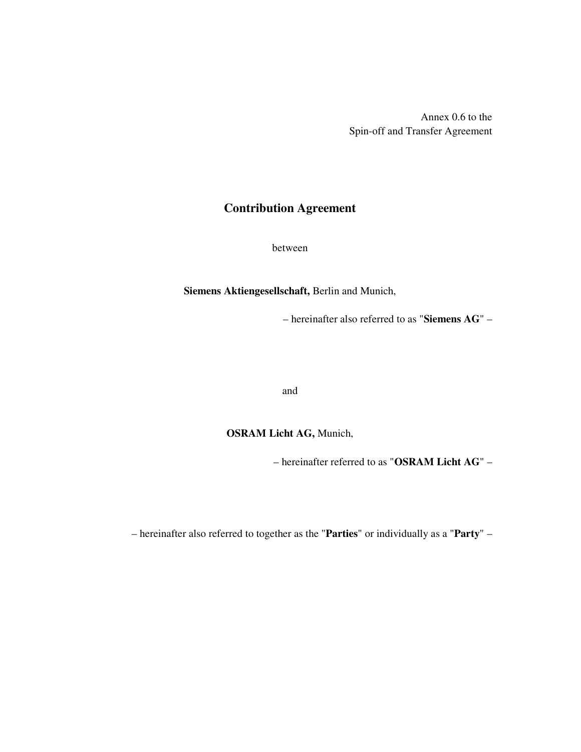Annex 0.6 to the Spin-off and Transfer Agreement

# **Contribution Agreement**

between

**Siemens Aktiengesellschaft,** Berlin and Munich,

– hereinafter also referred to as "**Siemens AG**" –

and

# **OSRAM Licht AG,** Munich,

– hereinafter referred to as "**OSRAM Licht AG**" –

– hereinafter also referred to together as the "**Parties**" or individually as a "**Party**" –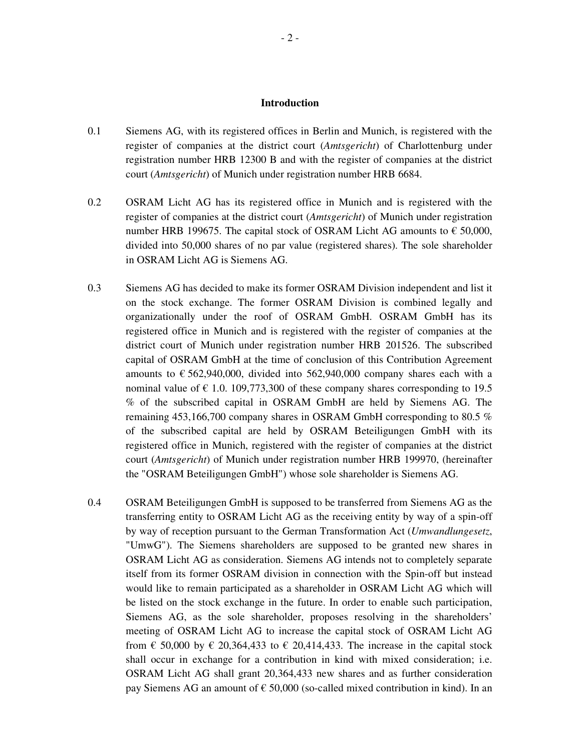#### **Introduction**

- 0.1 Siemens AG, with its registered offices in Berlin and Munich, is registered with the register of companies at the district court (*Amtsgericht*) of Charlottenburg under registration number HRB 12300 B and with the register of companies at the district court (*Amtsgericht*) of Munich under registration number HRB 6684.
- 0.2 OSRAM Licht AG has its registered office in Munich and is registered with the register of companies at the district court (*Amtsgericht*) of Munich under registration number HRB 199675. The capital stock of OSRAM Licht AG amounts to  $\epsilon$  50,000, divided into 50,000 shares of no par value (registered shares). The sole shareholder in OSRAM Licht AG is Siemens AG.
- 0.3 Siemens AG has decided to make its former OSRAM Division independent and list it on the stock exchange. The former OSRAM Division is combined legally and organizationally under the roof of OSRAM GmbH. OSRAM GmbH has its registered office in Munich and is registered with the register of companies at the district court of Munich under registration number HRB 201526. The subscribed capital of OSRAM GmbH at the time of conclusion of this Contribution Agreement amounts to  $\epsilon$  562,940,000, divided into 562,940,000 company shares each with a nominal value of  $\in$  1.0. 109,773,300 of these company shares corresponding to 19.5 % of the subscribed capital in OSRAM GmbH are held by Siemens AG. The remaining 453,166,700 company shares in OSRAM GmbH corresponding to 80.5 % of the subscribed capital are held by OSRAM Beteiligungen GmbH with its registered office in Munich, registered with the register of companies at the district court (*Amtsgericht*) of Munich under registration number HRB 199970, (hereinafter the "OSRAM Beteiligungen GmbH") whose sole shareholder is Siemens AG.
- 0.4 OSRAM Beteiligungen GmbH is supposed to be transferred from Siemens AG as the transferring entity to OSRAM Licht AG as the receiving entity by way of a spin-off by way of reception pursuant to the German Transformation Act (*Umwandlungesetz*, "UmwG"). The Siemens shareholders are supposed to be granted new shares in OSRAM Licht AG as consideration. Siemens AG intends not to completely separate itself from its former OSRAM division in connection with the Spin-off but instead would like to remain participated as a shareholder in OSRAM Licht AG which will be listed on the stock exchange in the future. In order to enable such participation, Siemens AG, as the sole shareholder, proposes resolving in the shareholders' meeting of OSRAM Licht AG to increase the capital stock of OSRAM Licht AG from  $\epsilon$  50,000 by  $\epsilon$  20,364,433 to  $\epsilon$  20,414,433. The increase in the capital stock shall occur in exchange for a contribution in kind with mixed consideration; i.e. OSRAM Licht AG shall grant 20,364,433 new shares and as further consideration pay Siemens AG an amount of  $\epsilon$  50,000 (so-called mixed contribution in kind). In an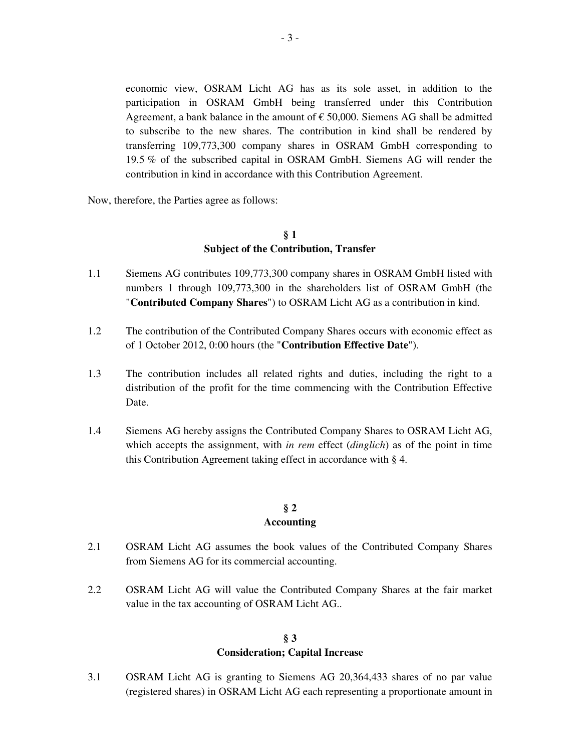economic view, OSRAM Licht AG has as its sole asset, in addition to the participation in OSRAM GmbH being transferred under this Contribution Agreement, a bank balance in the amount of  $\epsilon$  50,000. Siemens AG shall be admitted to subscribe to the new shares. The contribution in kind shall be rendered by transferring 109,773,300 company shares in OSRAM GmbH corresponding to 19.5 % of the subscribed capital in OSRAM GmbH. Siemens AG will render the contribution in kind in accordance with this Contribution Agreement.

Now, therefore, the Parties agree as follows:

## **§ 1 Subject of the Contribution, Transfer**

- 1.1 Siemens AG contributes 109,773,300 company shares in OSRAM GmbH listed with numbers 1 through 109,773,300 in the shareholders list of OSRAM GmbH (the "**Contributed Company Shares**") to OSRAM Licht AG as a contribution in kind.
- 1.2 The contribution of the Contributed Company Shares occurs with economic effect as of 1 October 2012, 0:00 hours (the "**Contribution Effective Date**").
- 1.3 The contribution includes all related rights and duties, including the right to a distribution of the profit for the time commencing with the Contribution Effective Date.
- 1.4 Siemens AG hereby assigns the Contributed Company Shares to OSRAM Licht AG, which accepts the assignment, with *in rem* effect (*dinglich*) as of the point in time this Contribution Agreement taking effect in accordance with § 4.

# **§ 2 Accounting**

- 2.1 OSRAM Licht AG assumes the book values of the Contributed Company Shares from Siemens AG for its commercial accounting.
- 2.2 OSRAM Licht AG will value the Contributed Company Shares at the fair market value in the tax accounting of OSRAM Licht AG..

## **§ 3 Consideration; Capital Increase**

3.1 OSRAM Licht AG is granting to Siemens AG 20,364,433 shares of no par value (registered shares) in OSRAM Licht AG each representing a proportionate amount in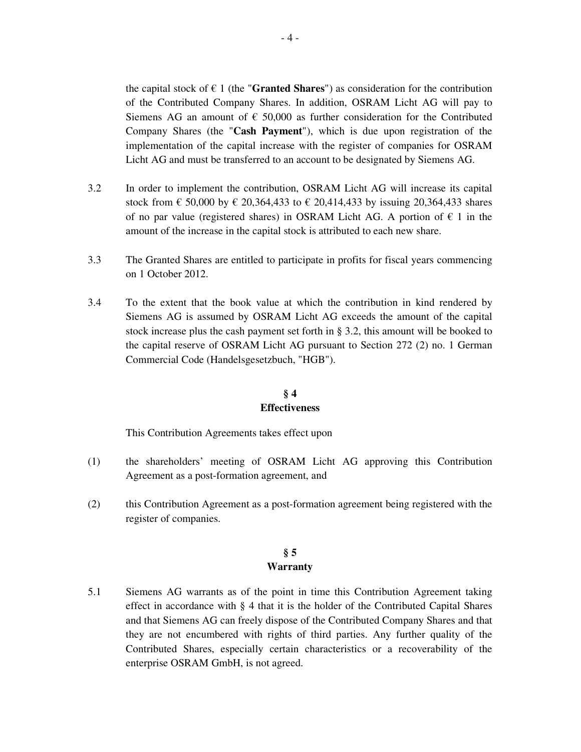the capital stock of  $\epsilon$  1 (the "**Granted Shares**") as consideration for the contribution of the Contributed Company Shares. In addition, OSRAM Licht AG will pay to Siemens AG an amount of  $\epsilon$  50,000 as further consideration for the Contributed Company Shares (the "**Cash Payment**"), which is due upon registration of the implementation of the capital increase with the register of companies for OSRAM Licht AG and must be transferred to an account to be designated by Siemens AG.

- 3.2 In order to implement the contribution, OSRAM Licht AG will increase its capital stock from  $\in$  50,000 by  $\in$  20,364,433 to  $\in$  20,414,433 by issuing 20,364,433 shares of no par value (registered shares) in OSRAM Licht AG. A portion of  $\epsilon$  1 in the amount of the increase in the capital stock is attributed to each new share.
- 3.3 The Granted Shares are entitled to participate in profits for fiscal years commencing on 1 October 2012.
- 3.4 To the extent that the book value at which the contribution in kind rendered by Siemens AG is assumed by OSRAM Licht AG exceeds the amount of the capital stock increase plus the cash payment set forth in § 3.2, this amount will be booked to the capital reserve of OSRAM Licht AG pursuant to Section 272 (2) no. 1 German Commercial Code (Handelsgesetzbuch, "HGB").

# **§ 4 Effectiveness**

This Contribution Agreements takes effect upon

- (1) the shareholders' meeting of OSRAM Licht AG approving this Contribution Agreement as a post-formation agreement, and
- (2) this Contribution Agreement as a post-formation agreement being registered with the register of companies.

## **§ 5 Warranty**

5.1 Siemens AG warrants as of the point in time this Contribution Agreement taking effect in accordance with § 4 that it is the holder of the Contributed Capital Shares and that Siemens AG can freely dispose of the Contributed Company Shares and that they are not encumbered with rights of third parties. Any further quality of the Contributed Shares, especially certain characteristics or a recoverability of the enterprise OSRAM GmbH, is not agreed.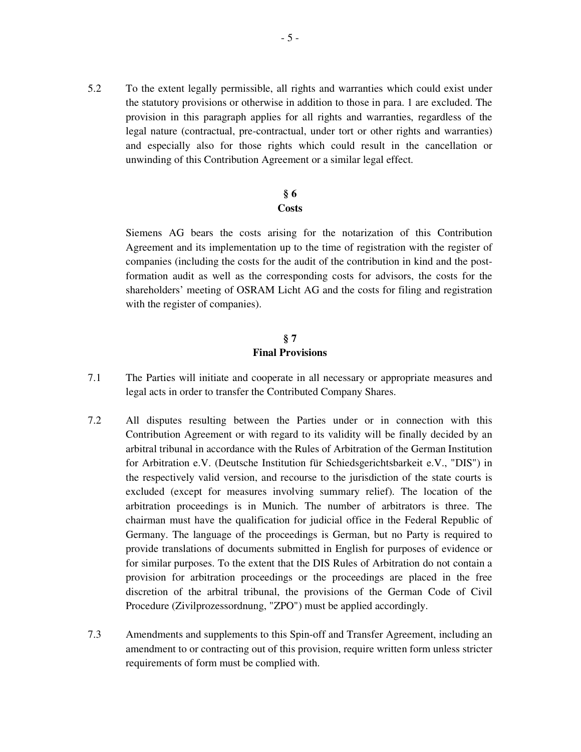5.2 To the extent legally permissible, all rights and warranties which could exist under the statutory provisions or otherwise in addition to those in para. 1 are excluded. The provision in this paragraph applies for all rights and warranties, regardless of the legal nature (contractual, pre-contractual, under tort or other rights and warranties) and especially also for those rights which could result in the cancellation or unwinding of this Contribution Agreement or a similar legal effect.

## **§ 6 Costs**

 Siemens AG bears the costs arising for the notarization of this Contribution Agreement and its implementation up to the time of registration with the register of companies (including the costs for the audit of the contribution in kind and the postformation audit as well as the corresponding costs for advisors, the costs for the shareholders' meeting of OSRAM Licht AG and the costs for filing and registration with the register of companies).

## **§ 7 Final Provisions**

- 7.1 The Parties will initiate and cooperate in all necessary or appropriate measures and legal acts in order to transfer the Contributed Company Shares.
- 7.2 All disputes resulting between the Parties under or in connection with this Contribution Agreement or with regard to its validity will be finally decided by an arbitral tribunal in accordance with the Rules of Arbitration of the German Institution for Arbitration e.V. (Deutsche Institution für Schiedsgerichtsbarkeit e.V., "DIS") in the respectively valid version, and recourse to the jurisdiction of the state courts is excluded (except for measures involving summary relief). The location of the arbitration proceedings is in Munich. The number of arbitrators is three. The chairman must have the qualification for judicial office in the Federal Republic of Germany. The language of the proceedings is German, but no Party is required to provide translations of documents submitted in English for purposes of evidence or for similar purposes. To the extent that the DIS Rules of Arbitration do not contain a provision for arbitration proceedings or the proceedings are placed in the free discretion of the arbitral tribunal, the provisions of the German Code of Civil Procedure (Zivilprozessordnung, "ZPO") must be applied accordingly.
- 7.3 Amendments and supplements to this Spin-off and Transfer Agreement, including an amendment to or contracting out of this provision, require written form unless stricter requirements of form must be complied with.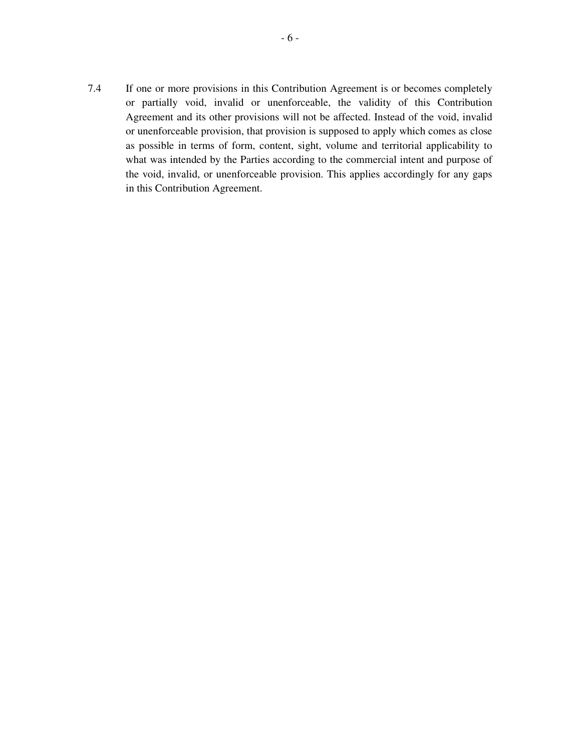7.4 If one or more provisions in this Contribution Agreement is or becomes completely or partially void, invalid or unenforceable, the validity of this Contribution Agreement and its other provisions will not be affected. Instead of the void, invalid or unenforceable provision, that provision is supposed to apply which comes as close as possible in terms of form, content, sight, volume and territorial applicability to what was intended by the Parties according to the commercial intent and purpose of the void, invalid, or unenforceable provision. This applies accordingly for any gaps in this Contribution Agreement.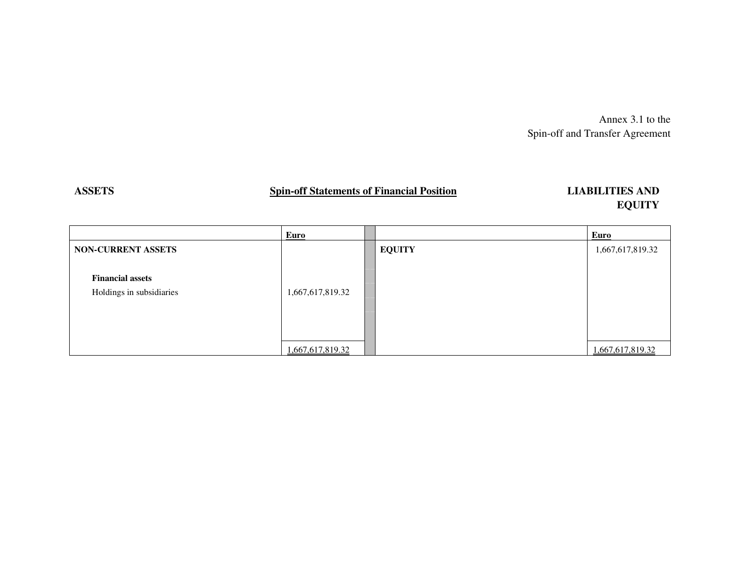Annex 3.1 to the Spin-off and Transfer Agreement

# **ASSETS Spin-off Statements of Financial Position**

# **LIABILITIES AND EQUITY**

|                           | Euro             |               | Euro             |
|---------------------------|------------------|---------------|------------------|
| <b>NON-CURRENT ASSETS</b> |                  | <b>EQUITY</b> | 1,667,617,819.32 |
|                           |                  |               |                  |
| <b>Financial assets</b>   |                  |               |                  |
| Holdings in subsidiaries  | 1,667,617,819.32 |               |                  |
|                           |                  |               |                  |
|                           |                  |               |                  |
|                           |                  |               |                  |
|                           | 1,667,617,819.32 |               | 1,667,617,819.32 |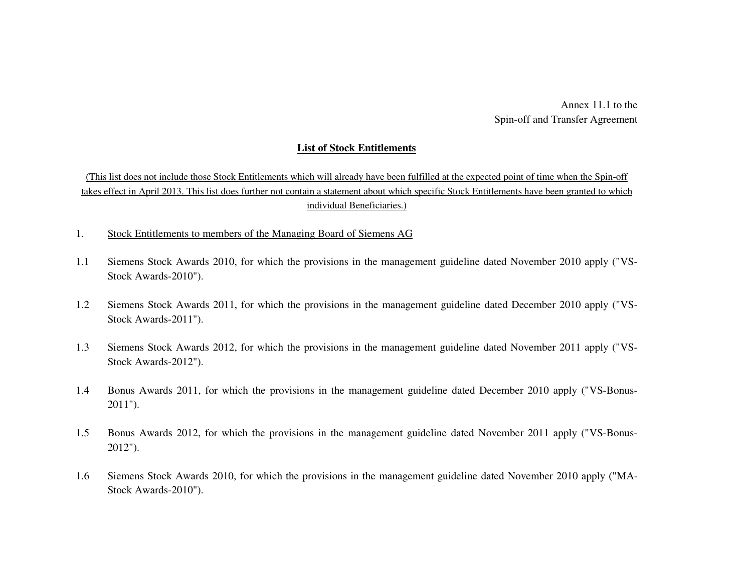Annex 11.1 to the Spin-off and Transfer Agreement

#### **List of Stock Entitlements**

(This list does not include those Stock Entitlements which will already have been fulfilled at the expected point of time when the Spin-off takes effect in April 2013. This list does further not contain a statement about which specific Stock Entitlements have been granted to which individual Beneficiaries.)

- 1. Stock Entitlements to members of the Managing Board of Siemens AG
- 1.1 Siemens Stock Awards 2010, for which the provisions in the management guideline dated November 2010 apply ("VS-Stock Awards-2010").
- 1.2 Siemens Stock Awards 2011, for which the provisions in the management guideline dated December 2010 apply ("VS-Stock Awards-2011").
- 1.3 Siemens Stock Awards 2012, for which the provisions in the management guideline dated November 2011 apply ("VS-Stock Awards-2012").
- 1.4 Bonus Awards 2011, for which the provisions in the management guideline dated December 2010 apply ("VS-Bonus-2011").
- 1.5 Bonus Awards 2012, for which the provisions in the management guideline dated November 2011 apply ("VS-Bonus-2012").
- 1.6 Siemens Stock Awards 2010, for which the provisions in the management guideline dated November 2010 apply ("MA-Stock Awards-2010").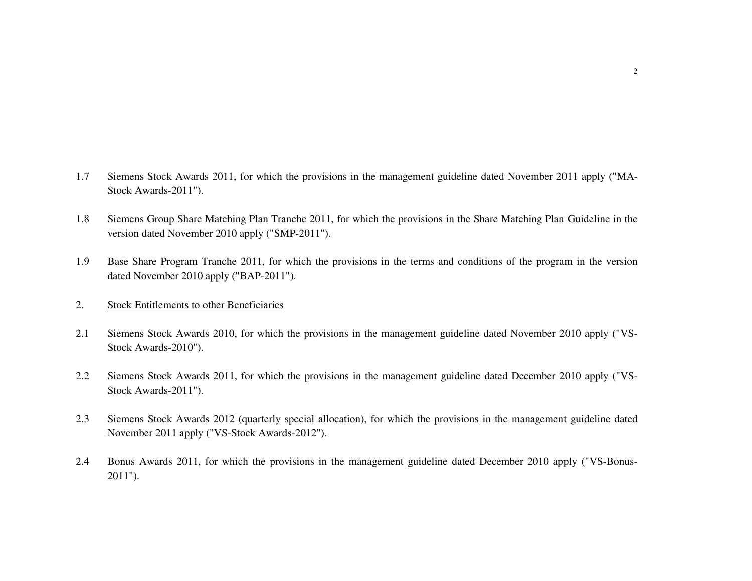- 1.7 Siemens Stock Awards 2011, for which the provisions in the management guideline dated November 2011 apply ("MA-Stock Awards-2011").
- 1.8 Siemens Group Share Matching Plan Tranche 2011, for which the provisions in the Share Matching Plan Guideline in the version dated November 2010 apply ("SMP-2011").
- 1.9 Base Share Program Tranche 2011, for which the provisions in the terms and conditions of the program in the version dated November 2010 apply ("BAP-2011").

#### 2. Stock Entitlements to other Beneficiaries

- 2.1 Siemens Stock Awards 2010, for which the provisions in the management guideline dated November 2010 apply ("VS-Stock Awards-2010").
- 2.2 Siemens Stock Awards 2011, for which the provisions in the management guideline dated December 2010 apply ("VS-Stock Awards-2011").
- 2.3 Siemens Stock Awards 2012 (quarterly special allocation), for which the provisions in the management guideline dated November 2011 apply ("VS-Stock Awards-2012").
- 2.4 Bonus Awards 2011, for which the provisions in the management guideline dated December 2010 apply ("VS-Bonus-2011").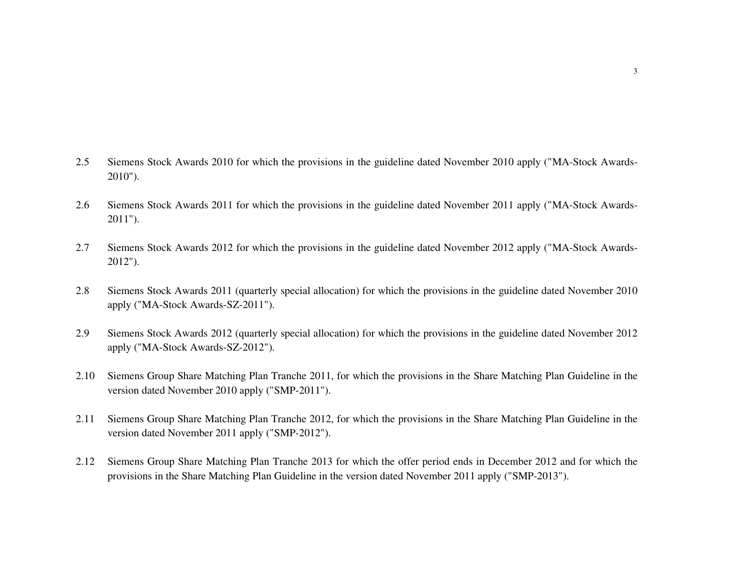- 2.5 Siemens Stock Awards 2010 for which the provisions in the guideline dated November 2010 apply ("MA-Stock Awards-2010").
- 2.6 Siemens Stock Awards 2011 for which the provisions in the guideline dated November 2011 apply ("MA-Stock Awards-2011").
- 2.7 Siemens Stock Awards 2012 for which the provisions in the guideline dated November 2012 apply ("MA-Stock Awards-2012").
- 2.8 Siemens Stock Awards 2011 (quarterly special allocation) for which the provisions in the guideline dated November 2010 apply ("MA-Stock Awards-SZ-2011").
- 2.9 Siemens Stock Awards 2012 (quarterly special allocation) for which the provisions in the guideline dated November 2012 apply ("MA-Stock Awards-SZ-2012").
- 2.10 Siemens Group Share Matching Plan Tranche 2011, for which the provisions in the Share Matching Plan Guideline in the version dated November 2010 apply ("SMP-2011").
- 2.11 Siemens Group Share Matching Plan Tranche 2012, for which the provisions in the Share Matching Plan Guideline in the version dated November 2011 apply ("SMP-2012").
- 2.12 Siemens Group Share Matching Plan Tranche 2013 for which the offer period ends in December 2012 and for which the provisions in the Share Matching Plan Guideline in the version dated November 2011 apply ("SMP-2013").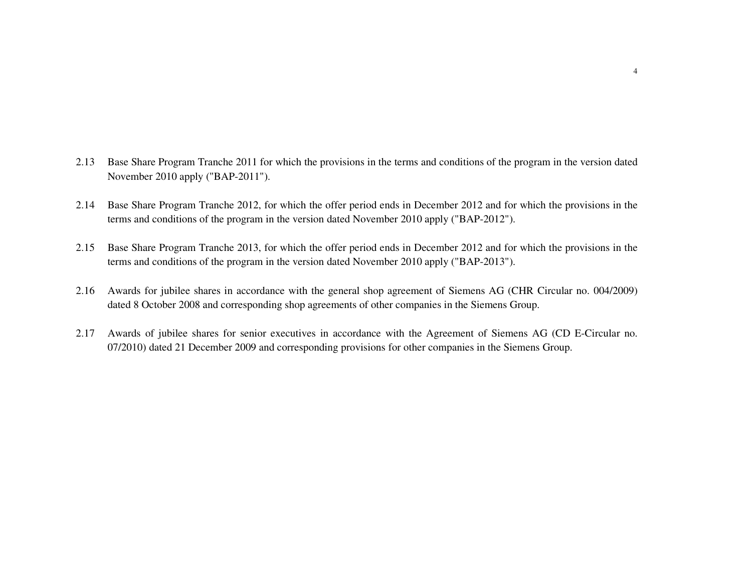- 2.13 Base Share Program Tranche 2011 for which the provisions in the terms and conditions of the program in the version dated November 2010 apply ("BAP-2011").
- 2.14 Base Share Program Tranche 2012, for which the offer period ends in December 2012 and for which the provisions in the terms and conditions of the program in the version dated November 2010 apply ("BAP-2012").
- 2.15 Base Share Program Tranche 2013, for which the offer period ends in December 2012 and for which the provisions in the terms and conditions of the program in the version dated November 2010 apply ("BAP-2013").
- 2.16 Awards for jubilee shares in accordance with the general shop agreement of Siemens AG (CHR Circular no. 004/2009) dated 8 October 2008 and corresponding shop agreements of other companies in the Siemens Group.
- 2.17 Awards of jubilee shares for senior executives in accordance with the Agreement of Siemens AG (CD E-Circular no. 07/2010) dated 21 December 2009 and corresponding provisions for other companies in the Siemens Group.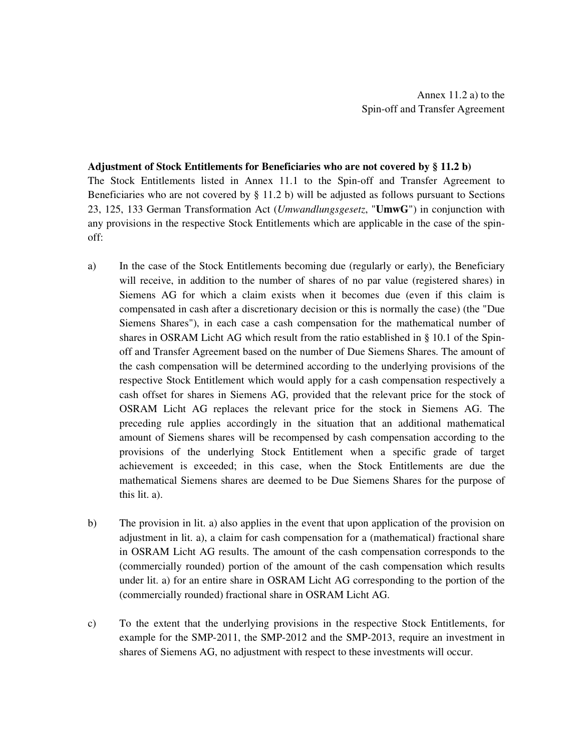#### **Adjustment of Stock Entitlements for Beneficiaries who are not covered by § 11.2 b)**

The Stock Entitlements listed in Annex 11.1 to the Spin-off and Transfer Agreement to Beneficiaries who are not covered by § 11.2 b) will be adjusted as follows pursuant to Sections 23, 125, 133 German Transformation Act (*Umwandlungsgesetz*, "**UmwG**") in conjunction with any provisions in the respective Stock Entitlements which are applicable in the case of the spinoff:

- a) In the case of the Stock Entitlements becoming due (regularly or early), the Beneficiary will receive, in addition to the number of shares of no par value (registered shares) in Siemens AG for which a claim exists when it becomes due (even if this claim is compensated in cash after a discretionary decision or this is normally the case) (the "Due Siemens Shares"), in each case a cash compensation for the mathematical number of shares in OSRAM Licht AG which result from the ratio established in § 10.1 of the Spinoff and Transfer Agreement based on the number of Due Siemens Shares. The amount of the cash compensation will be determined according to the underlying provisions of the respective Stock Entitlement which would apply for a cash compensation respectively a cash offset for shares in Siemens AG, provided that the relevant price for the stock of OSRAM Licht AG replaces the relevant price for the stock in Siemens AG. The preceding rule applies accordingly in the situation that an additional mathematical amount of Siemens shares will be recompensed by cash compensation according to the provisions of the underlying Stock Entitlement when a specific grade of target achievement is exceeded; in this case, when the Stock Entitlements are due the mathematical Siemens shares are deemed to be Due Siemens Shares for the purpose of this lit. a).
- b) The provision in lit. a) also applies in the event that upon application of the provision on adjustment in lit. a), a claim for cash compensation for a (mathematical) fractional share in OSRAM Licht AG results. The amount of the cash compensation corresponds to the (commercially rounded) portion of the amount of the cash compensation which results under lit. a) for an entire share in OSRAM Licht AG corresponding to the portion of the (commercially rounded) fractional share in OSRAM Licht AG.
- c) To the extent that the underlying provisions in the respective Stock Entitlements, for example for the SMP-2011, the SMP-2012 and the SMP-2013, require an investment in shares of Siemens AG, no adjustment with respect to these investments will occur.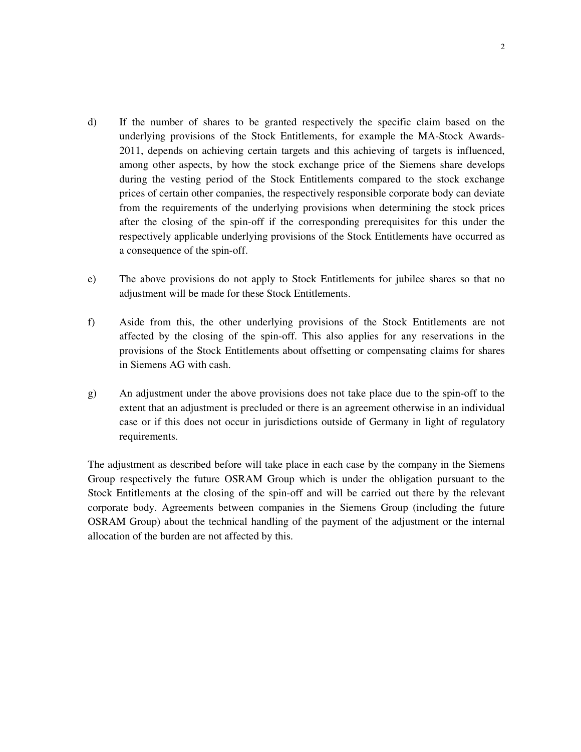- d) If the number of shares to be granted respectively the specific claim based on the underlying provisions of the Stock Entitlements, for example the MA-Stock Awards-2011, depends on achieving certain targets and this achieving of targets is influenced, among other aspects, by how the stock exchange price of the Siemens share develops during the vesting period of the Stock Entitlements compared to the stock exchange prices of certain other companies, the respectively responsible corporate body can deviate from the requirements of the underlying provisions when determining the stock prices after the closing of the spin-off if the corresponding prerequisites for this under the respectively applicable underlying provisions of the Stock Entitlements have occurred as a consequence of the spin-off.
- e) The above provisions do not apply to Stock Entitlements for jubilee shares so that no adjustment will be made for these Stock Entitlements.
- f) Aside from this, the other underlying provisions of the Stock Entitlements are not affected by the closing of the spin-off. This also applies for any reservations in the provisions of the Stock Entitlements about offsetting or compensating claims for shares in Siemens AG with cash.
- g) An adjustment under the above provisions does not take place due to the spin-off to the extent that an adjustment is precluded or there is an agreement otherwise in an individual case or if this does not occur in jurisdictions outside of Germany in light of regulatory requirements.

The adjustment as described before will take place in each case by the company in the Siemens Group respectively the future OSRAM Group which is under the obligation pursuant to the Stock Entitlements at the closing of the spin-off and will be carried out there by the relevant corporate body. Agreements between companies in the Siemens Group (including the future OSRAM Group) about the technical handling of the payment of the adjustment or the internal allocation of the burden are not affected by this.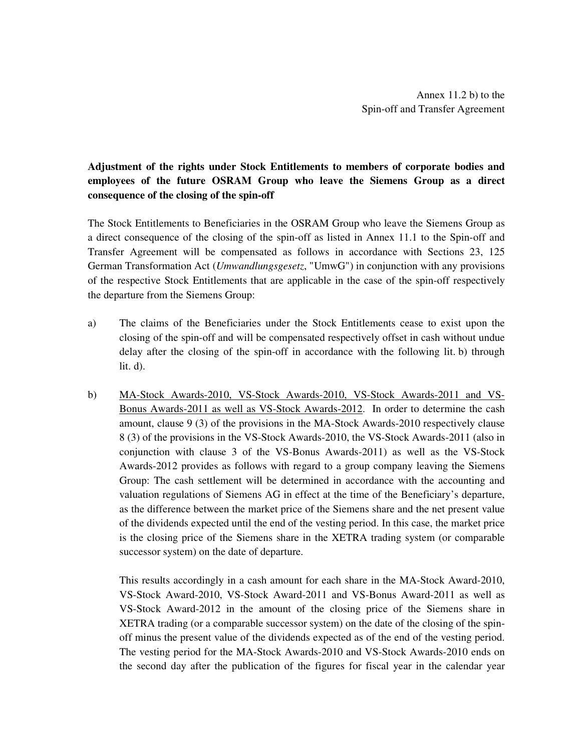# **Adjustment of the rights under Stock Entitlements to members of corporate bodies and employees of the future OSRAM Group who leave the Siemens Group as a direct consequence of the closing of the spin-off**

The Stock Entitlements to Beneficiaries in the OSRAM Group who leave the Siemens Group as a direct consequence of the closing of the spin-off as listed in Annex 11.1 to the Spin-off and Transfer Agreement will be compensated as follows in accordance with Sections 23, 125 German Transformation Act (*Umwandlungsgesetz*, "UmwG") in conjunction with any provisions of the respective Stock Entitlements that are applicable in the case of the spin-off respectively the departure from the Siemens Group:

- a) The claims of the Beneficiaries under the Stock Entitlements cease to exist upon the closing of the spin-off and will be compensated respectively offset in cash without undue delay after the closing of the spin-off in accordance with the following lit. b) through  $lit. d$ ).
- b) MA-Stock Awards-2010, VS-Stock Awards-2010, VS-Stock Awards-2011 and VS-Bonus Awards-2011 as well as VS-Stock Awards-2012. In order to determine the cash amount, clause 9 (3) of the provisions in the MA-Stock Awards-2010 respectively clause 8 (3) of the provisions in the VS-Stock Awards-2010, the VS-Stock Awards-2011 (also in conjunction with clause 3 of the VS-Bonus Awards-2011) as well as the VS-Stock Awards-2012 provides as follows with regard to a group company leaving the Siemens Group: The cash settlement will be determined in accordance with the accounting and valuation regulations of Siemens AG in effect at the time of the Beneficiary's departure, as the difference between the market price of the Siemens share and the net present value of the dividends expected until the end of the vesting period. In this case, the market price is the closing price of the Siemens share in the XETRA trading system (or comparable successor system) on the date of departure.

 This results accordingly in a cash amount for each share in the MA-Stock Award-2010, VS-Stock Award-2010, VS-Stock Award-2011 and VS-Bonus Award-2011 as well as VS-Stock Award-2012 in the amount of the closing price of the Siemens share in XETRA trading (or a comparable successor system) on the date of the closing of the spinoff minus the present value of the dividends expected as of the end of the vesting period. The vesting period for the MA-Stock Awards-2010 and VS-Stock Awards-2010 ends on the second day after the publication of the figures for fiscal year in the calendar year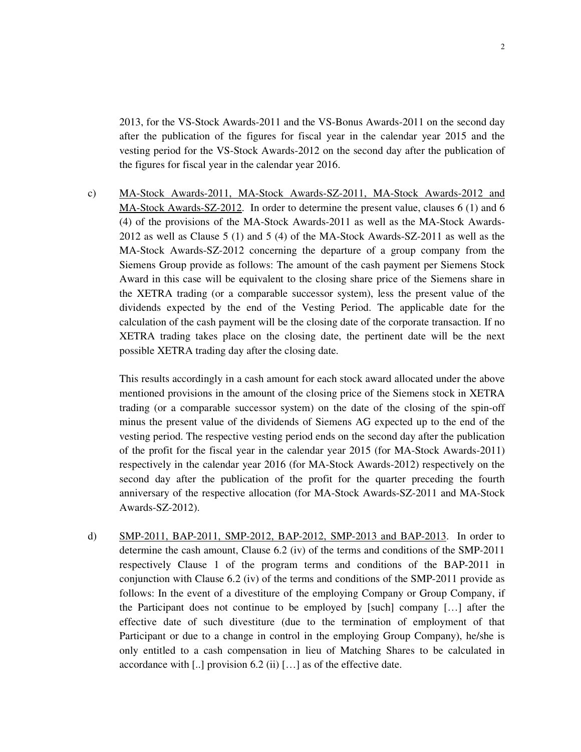2013, for the VS-Stock Awards-2011 and the VS-Bonus Awards-2011 on the second day after the publication of the figures for fiscal year in the calendar year 2015 and the vesting period for the VS-Stock Awards-2012 on the second day after the publication of the figures for fiscal year in the calendar year 2016.

c) MA-Stock Awards-2011, MA-Stock Awards-SZ-2011, MA-Stock Awards-2012 and MA-Stock Awards-SZ-2012. In order to determine the present value, clauses 6 (1) and 6 (4) of the provisions of the MA-Stock Awards-2011 as well as the MA-Stock Awards-2012 as well as Clause 5 (1) and 5 (4) of the MA-Stock Awards-SZ-2011 as well as the MA-Stock Awards-SZ-2012 concerning the departure of a group company from the Siemens Group provide as follows: The amount of the cash payment per Siemens Stock Award in this case will be equivalent to the closing share price of the Siemens share in the XETRA trading (or a comparable successor system), less the present value of the dividends expected by the end of the Vesting Period. The applicable date for the calculation of the cash payment will be the closing date of the corporate transaction. If no XETRA trading takes place on the closing date, the pertinent date will be the next possible XETRA trading day after the closing date.

 This results accordingly in a cash amount for each stock award allocated under the above mentioned provisions in the amount of the closing price of the Siemens stock in XETRA trading (or a comparable successor system) on the date of the closing of the spin-off minus the present value of the dividends of Siemens AG expected up to the end of the vesting period. The respective vesting period ends on the second day after the publication of the profit for the fiscal year in the calendar year 2015 (for MA-Stock Awards-2011) respectively in the calendar year 2016 (for MA-Stock Awards-2012) respectively on the second day after the publication of the profit for the quarter preceding the fourth anniversary of the respective allocation (for MA-Stock Awards-SZ-2011 and MA-Stock Awards-SZ-2012).

d) SMP-2011, BAP-2011, SMP-2012, BAP-2012, SMP-2013 and BAP-2013. In order to determine the cash amount, Clause 6.2 (iv) of the terms and conditions of the SMP-2011 respectively Clause 1 of the program terms and conditions of the BAP-2011 in conjunction with Clause 6.2 (iv) of the terms and conditions of the SMP-2011 provide as follows: In the event of a divestiture of the employing Company or Group Company, if the Participant does not continue to be employed by [such] company […] after the effective date of such divestiture (due to the termination of employment of that Participant or due to a change in control in the employing Group Company), he/she is only entitled to a cash compensation in lieu of Matching Shares to be calculated in accordance with [..] provision 6.2 (ii) […] as of the effective date.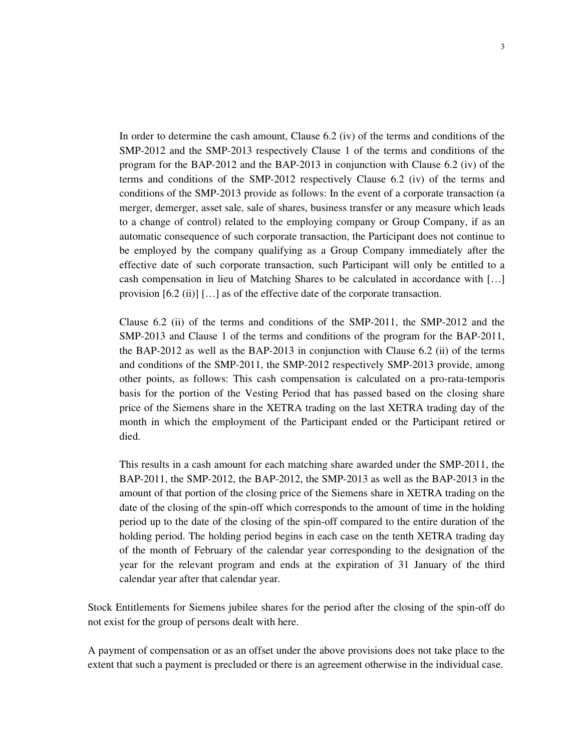In order to determine the cash amount, Clause 6.2 (iv) of the terms and conditions of the SMP-2012 and the SMP-2013 respectively Clause 1 of the terms and conditions of the program for the BAP-2012 and the BAP-2013 in conjunction with Clause 6.2 (iv) of the terms and conditions of the SMP-2012 respectively Clause 6.2 (iv) of the terms and conditions of the SMP-2013 provide as follows: In the event of a corporate transaction (a merger, demerger, asset sale, sale of shares, business transfer or any measure which leads to a change of control) related to the employing company or Group Company, if as an automatic consequence of such corporate transaction, the Participant does not continue to be employed by the company qualifying as a Group Company immediately after the effective date of such corporate transaction, such Participant will only be entitled to a cash compensation in lieu of Matching Shares to be calculated in accordance with […] provision [6.2 (ii)] […] as of the effective date of the corporate transaction.

 Clause 6.2 (ii) of the terms and conditions of the SMP-2011, the SMP-2012 and the SMP-2013 and Clause 1 of the terms and conditions of the program for the BAP-2011, the BAP-2012 as well as the BAP-2013 in conjunction with Clause 6.2 (ii) of the terms and conditions of the SMP-2011, the SMP-2012 respectively SMP-2013 provide, among other points, as follows: This cash compensation is calculated on a pro-rata-temporis basis for the portion of the Vesting Period that has passed based on the closing share price of the Siemens share in the XETRA trading on the last XETRA trading day of the month in which the employment of the Participant ended or the Participant retired or died.

 This results in a cash amount for each matching share awarded under the SMP-2011, the BAP-2011, the SMP-2012, the BAP-2012, the SMP-2013 as well as the BAP-2013 in the amount of that portion of the closing price of the Siemens share in XETRA trading on the date of the closing of the spin-off which corresponds to the amount of time in the holding period up to the date of the closing of the spin-off compared to the entire duration of the holding period. The holding period begins in each case on the tenth XETRA trading day of the month of February of the calendar year corresponding to the designation of the year for the relevant program and ends at the expiration of 31 January of the third calendar year after that calendar year.

Stock Entitlements for Siemens jubilee shares for the period after the closing of the spin-off do not exist for the group of persons dealt with here.

A payment of compensation or as an offset under the above provisions does not take place to the extent that such a payment is precluded or there is an agreement otherwise in the individual case.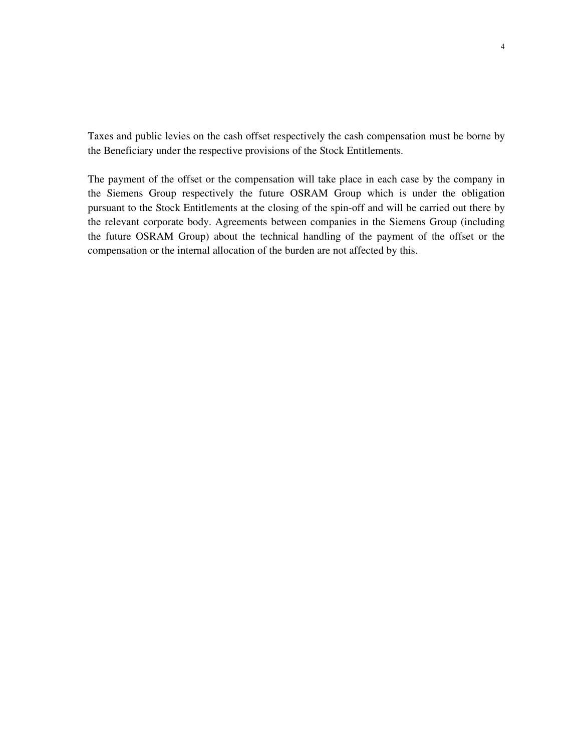Taxes and public levies on the cash offset respectively the cash compensation must be borne by the Beneficiary under the respective provisions of the Stock Entitlements.

The payment of the offset or the compensation will take place in each case by the company in the Siemens Group respectively the future OSRAM Group which is under the obligation pursuant to the Stock Entitlements at the closing of the spin-off and will be carried out there by the relevant corporate body. Agreements between companies in the Siemens Group (including the future OSRAM Group) about the technical handling of the payment of the offset or the compensation or the internal allocation of the burden are not affected by this.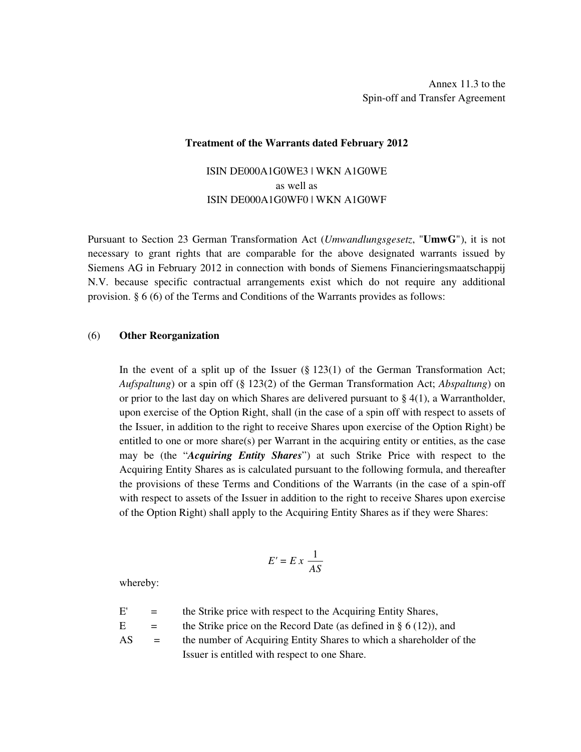#### **Treatment of the Warrants dated February 2012**

# ISIN DE000A1G0WE3 | WKN A1G0WE as well as ISIN DE000A1G0WF0 | WKN A1G0WF

Pursuant to Section 23 German Transformation Act (*Umwandlungsgesetz*, "**UmwG**"), it is not necessary to grant rights that are comparable for the above designated warrants issued by Siemens AG in February 2012 in connection with bonds of Siemens Financieringsmaatschappij N.V. because specific contractual arrangements exist which do not require any additional provision. § 6 (6) of the Terms and Conditions of the Warrants provides as follows:

#### (6) **Other Reorganization**

 In the event of a split up of the Issuer (§ 123(1) of the German Transformation Act; *Aufspaltung*) or a spin off (§ 123(2) of the German Transformation Act; *Abspaltung*) on or prior to the last day on which Shares are delivered pursuant to  $\S$  4(1), a Warrantholder, upon exercise of the Option Right, shall (in the case of a spin off with respect to assets of the Issuer, in addition to the right to receive Shares upon exercise of the Option Right) be entitled to one or more share(s) per Warrant in the acquiring entity or entities, as the case may be (the "*Acquiring Entity Shares*") at such Strike Price with respect to the Acquiring Entity Shares as is calculated pursuant to the following formula, and thereafter the provisions of these Terms and Conditions of the Warrants (in the case of a spin-off with respect to assets of the Issuer in addition to the right to receive Shares upon exercise of the Option Right) shall apply to the Acquiring Entity Shares as if they were Shares:

$$
E'=E\,x\,\frac{1}{AS}
$$

whereby:

| E'  | $=$ | the Strike price with respect to the Acquiring Entity Shares,        |
|-----|-----|----------------------------------------------------------------------|
| Е.  | $=$ | the Strike price on the Record Date (as defined in $\S 6(12)$ ), and |
| AS. | $=$ | the number of Acquiring Entity Shares to which a shareholder of the  |
|     |     | Issuer is entitled with respect to one Share.                        |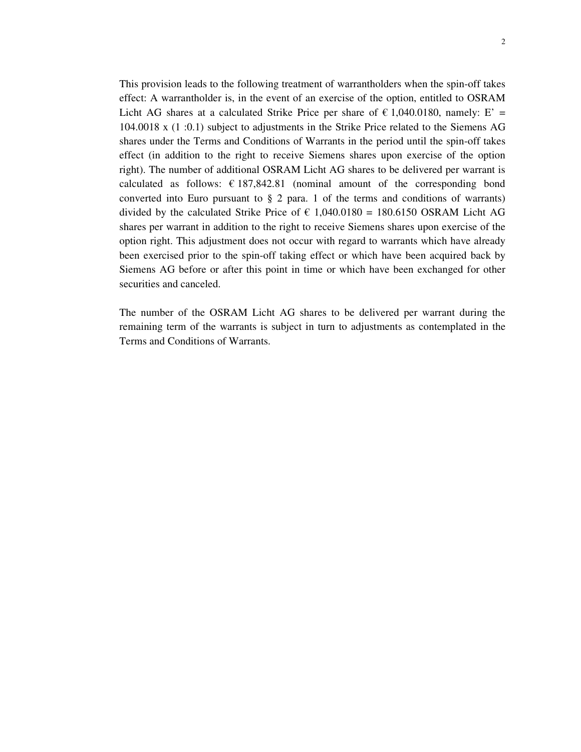This provision leads to the following treatment of warrantholders when the spin-off takes effect: A warrantholder is, in the event of an exercise of the option, entitled to OSRAM Licht AG shares at a calculated Strike Price per share of  $\epsilon$  1,040.0180, namely: E' = 104.0018 x (1 :0.1) subject to adjustments in the Strike Price related to the Siemens AG shares under the Terms and Conditions of Warrants in the period until the spin-off takes effect (in addition to the right to receive Siemens shares upon exercise of the option right). The number of additional OSRAM Licht AG shares to be delivered per warrant is calculated as follows:  $\epsilon$  187,842.81 (nominal amount of the corresponding bond converted into Euro pursuant to  $\S 2$  para. 1 of the terms and conditions of warrants) divided by the calculated Strike Price of  $\epsilon$  1,040.0180 = 180.6150 OSRAM Licht AG shares per warrant in addition to the right to receive Siemens shares upon exercise of the option right. This adjustment does not occur with regard to warrants which have already been exercised prior to the spin-off taking effect or which have been acquired back by Siemens AG before or after this point in time or which have been exchanged for other securities and canceled.

 The number of the OSRAM Licht AG shares to be delivered per warrant during the remaining term of the warrants is subject in turn to adjustments as contemplated in the Terms and Conditions of Warrants.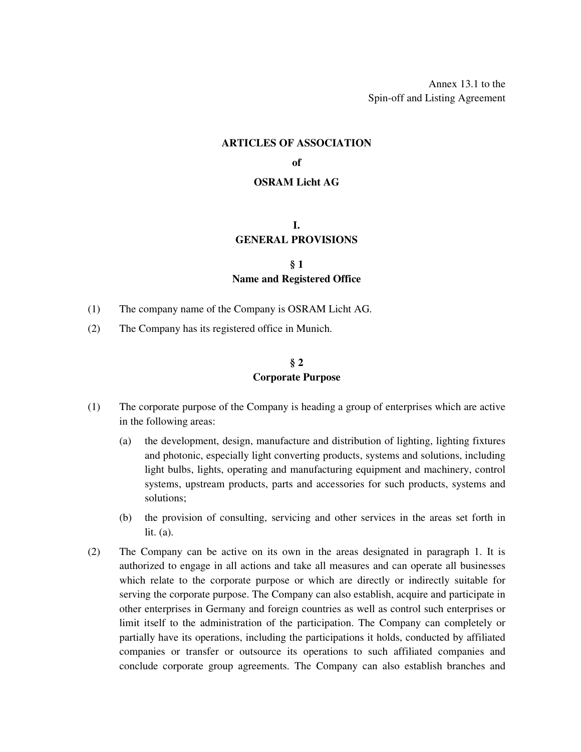Annex 13.1 to the Spin-off and Listing Agreement

#### **ARTICLES OF ASSOCIATION**

#### **of**

#### **OSRAM Licht AG**

#### **I. GENERAL PROVISIONS**

## **§ 1 Name and Registered Office**

- (1) The company name of the Company is OSRAM Licht AG.
- (2) The Company has its registered office in Munich.

## **§ 2 Corporate Purpose**

- (1) The corporate purpose of the Company is heading a group of enterprises which are active in the following areas:
	- (a) the development, design, manufacture and distribution of lighting, lighting fixtures and photonic, especially light converting products, systems and solutions, including light bulbs, lights, operating and manufacturing equipment and machinery, control systems, upstream products, parts and accessories for such products, systems and solutions;
	- (b) the provision of consulting, servicing and other services in the areas set forth in lit. (a).
- (2) The Company can be active on its own in the areas designated in paragraph 1. It is authorized to engage in all actions and take all measures and can operate all businesses which relate to the corporate purpose or which are directly or indirectly suitable for serving the corporate purpose. The Company can also establish, acquire and participate in other enterprises in Germany and foreign countries as well as control such enterprises or limit itself to the administration of the participation. The Company can completely or partially have its operations, including the participations it holds, conducted by affiliated companies or transfer or outsource its operations to such affiliated companies and conclude corporate group agreements. The Company can also establish branches and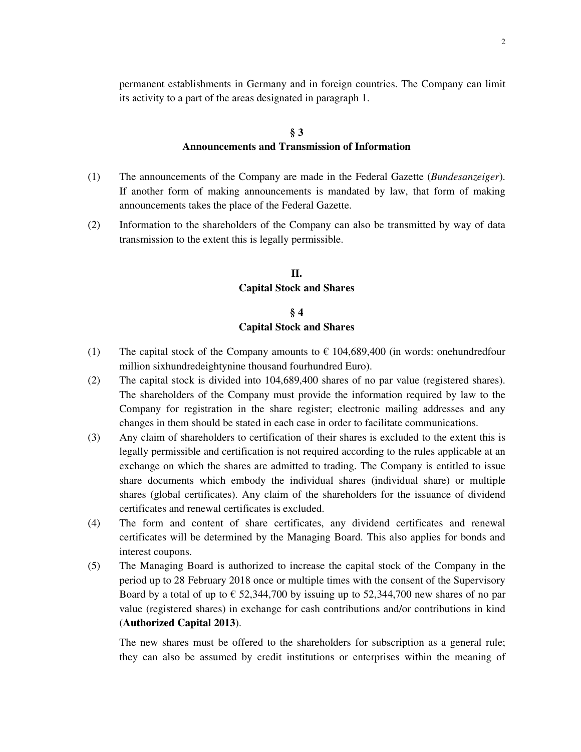permanent establishments in Germany and in foreign countries. The Company can limit its activity to a part of the areas designated in paragraph 1.

## **§ 3 Announcements and Transmission of Information**

- (1) The announcements of the Company are made in the Federal Gazette (*Bundesanzeiger*). If another form of making announcements is mandated by law, that form of making announcements takes the place of the Federal Gazette.
- (2) Information to the shareholders of the Company can also be transmitted by way of data transmission to the extent this is legally permissible.

## **II. Capital Stock and Shares**

# **§ 4 Capital Stock and Shares**

- (1) The capital stock of the Company amounts to  $\epsilon$  104,689,400 (in words: onehundredfour million sixhundredeightynine thousand fourhundred Euro).
- (2) The capital stock is divided into 104,689,400 shares of no par value (registered shares). The shareholders of the Company must provide the information required by law to the Company for registration in the share register; electronic mailing addresses and any changes in them should be stated in each case in order to facilitate communications.
- (3) Any claim of shareholders to certification of their shares is excluded to the extent this is legally permissible and certification is not required according to the rules applicable at an exchange on which the shares are admitted to trading. The Company is entitled to issue share documents which embody the individual shares (individual share) or multiple shares (global certificates). Any claim of the shareholders for the issuance of dividend certificates and renewal certificates is excluded.
- (4) The form and content of share certificates, any dividend certificates and renewal certificates will be determined by the Managing Board. This also applies for bonds and interest coupons.
- (5) The Managing Board is authorized to increase the capital stock of the Company in the period up to 28 February 2018 once or multiple times with the consent of the Supervisory Board by a total of up to  $\epsilon$  52,344,700 by issuing up to 52,344,700 new shares of no par value (registered shares) in exchange for cash contributions and/or contributions in kind (**Authorized Capital 2013**).

The new shares must be offered to the shareholders for subscription as a general rule; they can also be assumed by credit institutions or enterprises within the meaning of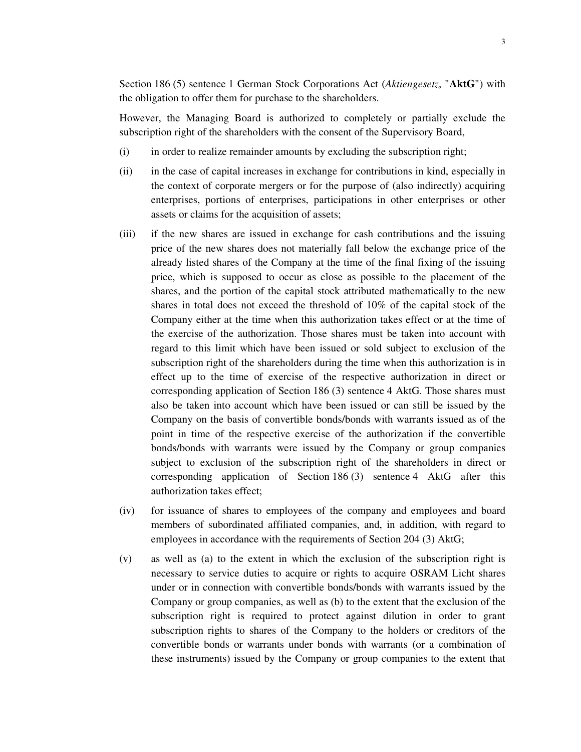Section 186 (5) sentence 1 German Stock Corporations Act (*Aktiengesetz*, "**AktG**") with the obligation to offer them for purchase to the shareholders.

However, the Managing Board is authorized to completely or partially exclude the subscription right of the shareholders with the consent of the Supervisory Board,

- (i) in order to realize remainder amounts by excluding the subscription right;
- (ii) in the case of capital increases in exchange for contributions in kind, especially in the context of corporate mergers or for the purpose of (also indirectly) acquiring enterprises, portions of enterprises, participations in other enterprises or other assets or claims for the acquisition of assets;
- (iii) if the new shares are issued in exchange for cash contributions and the issuing price of the new shares does not materially fall below the exchange price of the already listed shares of the Company at the time of the final fixing of the issuing price, which is supposed to occur as close as possible to the placement of the shares, and the portion of the capital stock attributed mathematically to the new shares in total does not exceed the threshold of 10% of the capital stock of the Company either at the time when this authorization takes effect or at the time of the exercise of the authorization. Those shares must be taken into account with regard to this limit which have been issued or sold subject to exclusion of the subscription right of the shareholders during the time when this authorization is in effect up to the time of exercise of the respective authorization in direct or corresponding application of Section 186 (3) sentence 4 AktG. Those shares must also be taken into account which have been issued or can still be issued by the Company on the basis of convertible bonds/bonds with warrants issued as of the point in time of the respective exercise of the authorization if the convertible bonds/bonds with warrants were issued by the Company or group companies subject to exclusion of the subscription right of the shareholders in direct or corresponding application of Section 186 (3) sentence 4 AktG after this authorization takes effect;
- (iv) for issuance of shares to employees of the company and employees and board members of subordinated affiliated companies, and, in addition, with regard to employees in accordance with the requirements of Section 204 (3) AktG;
- (v) as well as (a) to the extent in which the exclusion of the subscription right is necessary to service duties to acquire or rights to acquire OSRAM Licht shares under or in connection with convertible bonds/bonds with warrants issued by the Company or group companies, as well as (b) to the extent that the exclusion of the subscription right is required to protect against dilution in order to grant subscription rights to shares of the Company to the holders or creditors of the convertible bonds or warrants under bonds with warrants (or a combination of these instruments) issued by the Company or group companies to the extent that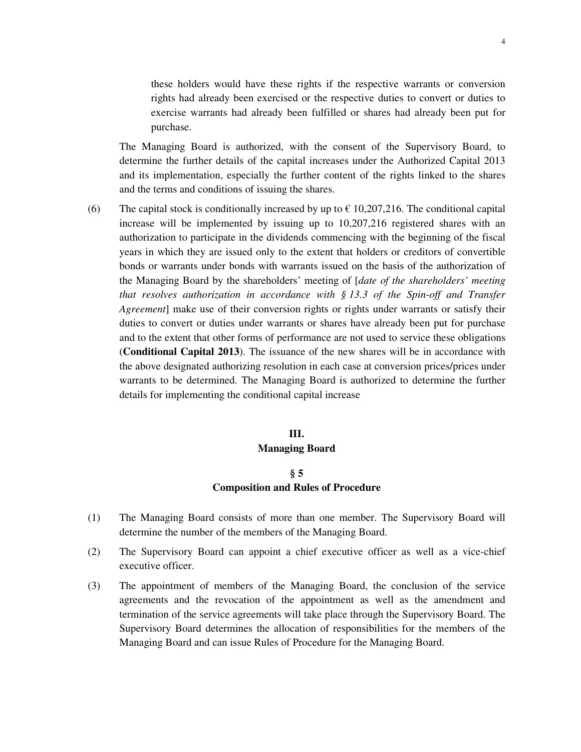these holders would have these rights if the respective warrants or conversion rights had already been exercised or the respective duties to convert or duties to exercise warrants had already been fulfilled or shares had already been put for purchase.

The Managing Board is authorized, with the consent of the Supervisory Board, to determine the further details of the capital increases under the Authorized Capital 2013 and its implementation, especially the further content of the rights linked to the shares and the terms and conditions of issuing the shares.

(6) The capital stock is conditionally increased by up to  $\epsilon$  10,207,216. The conditional capital increase will be implemented by issuing up to 10,207,216 registered shares with an authorization to participate in the dividends commencing with the beginning of the fiscal years in which they are issued only to the extent that holders or creditors of convertible bonds or warrants under bonds with warrants issued on the basis of the authorization of the Managing Board by the shareholders' meeting of [*date of the shareholders' meeting that resolves authorization in accordance with § 13.3 of the Spin-off and Transfer Agreement*] make use of their conversion rights or rights under warrants or satisfy their duties to convert or duties under warrants or shares have already been put for purchase and to the extent that other forms of performance are not used to service these obligations (**Conditional Capital 2013**). The issuance of the new shares will be in accordance with the above designated authorizing resolution in each case at conversion prices/prices under warrants to be determined. The Managing Board is authorized to determine the further details for implementing the conditional capital increase

# **III. Managing Board**

## **§ 5 Composition and Rules of Procedure**

- (1) The Managing Board consists of more than one member. The Supervisory Board will determine the number of the members of the Managing Board.
- (2) The Supervisory Board can appoint a chief executive officer as well as a vice-chief executive officer.
- (3) The appointment of members of the Managing Board, the conclusion of the service agreements and the revocation of the appointment as well as the amendment and termination of the service agreements will take place through the Supervisory Board. The Supervisory Board determines the allocation of responsibilities for the members of the Managing Board and can issue Rules of Procedure for the Managing Board.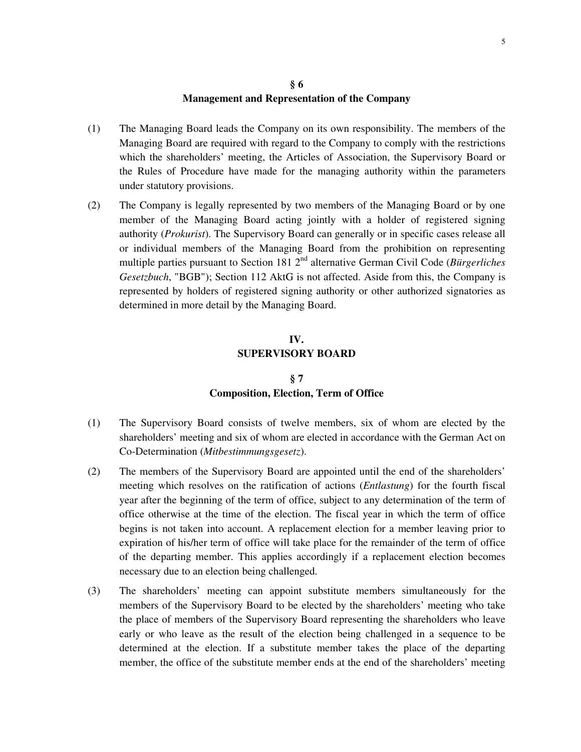## **§ 6 Management and Representation of the Company**

- (1) The Managing Board leads the Company on its own responsibility. The members of the Managing Board are required with regard to the Company to comply with the restrictions which the shareholders' meeting, the Articles of Association, the Supervisory Board or the Rules of Procedure have made for the managing authority within the parameters under statutory provisions.
- (2) The Company is legally represented by two members of the Managing Board or by one member of the Managing Board acting jointly with a holder of registered signing authority (*Prokurist*). The Supervisory Board can generally or in specific cases release all or individual members of the Managing Board from the prohibition on representing multiple parties pursuant to Section 181 2<sup>nd</sup> alternative German Civil Code (*Bürgerliches Gesetzbuch*, "BGB"); Section 112 AktG is not affected. Aside from this, the Company is represented by holders of registered signing authority or other authorized signatories as determined in more detail by the Managing Board.

# **IV. SUPERVISORY BOARD**

## **§ 7 Composition, Election, Term of Office**

- (1) The Supervisory Board consists of twelve members, six of whom are elected by the shareholders' meeting and six of whom are elected in accordance with the German Act on Co-Determination (*Mitbestimmungsgesetz*).
- (2) The members of the Supervisory Board are appointed until the end of the shareholders' meeting which resolves on the ratification of actions (*Entlastung*) for the fourth fiscal year after the beginning of the term of office, subject to any determination of the term of office otherwise at the time of the election. The fiscal year in which the term of office begins is not taken into account. A replacement election for a member leaving prior to expiration of his/her term of office will take place for the remainder of the term of office of the departing member. This applies accordingly if a replacement election becomes necessary due to an election being challenged.
- (3) The shareholders' meeting can appoint substitute members simultaneously for the members of the Supervisory Board to be elected by the shareholders' meeting who take the place of members of the Supervisory Board representing the shareholders who leave early or who leave as the result of the election being challenged in a sequence to be determined at the election. If a substitute member takes the place of the departing member, the office of the substitute member ends at the end of the shareholders' meeting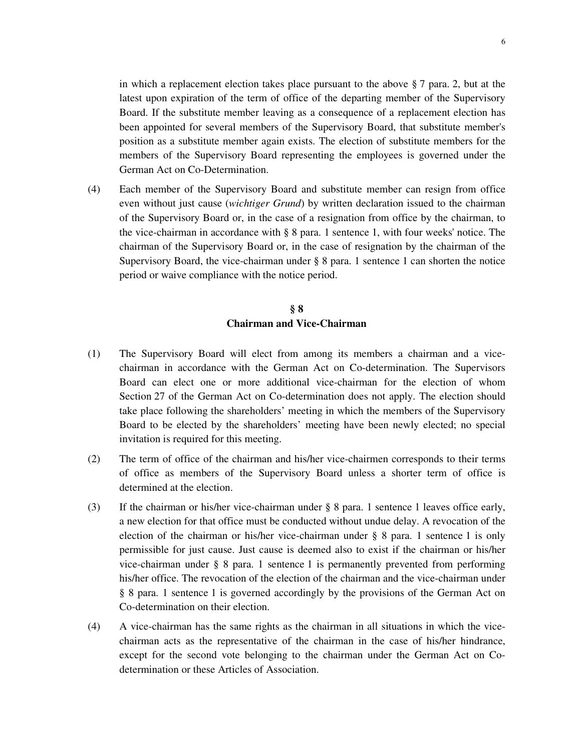in which a replacement election takes place pursuant to the above  $\S 7$  para. 2, but at the latest upon expiration of the term of office of the departing member of the Supervisory Board. If the substitute member leaving as a consequence of a replacement election has been appointed for several members of the Supervisory Board, that substitute member's position as a substitute member again exists. The election of substitute members for the members of the Supervisory Board representing the employees is governed under the German Act on Co-Determination.

(4) Each member of the Supervisory Board and substitute member can resign from office even without just cause (*wichtiger Grund*) by written declaration issued to the chairman of the Supervisory Board or, in the case of a resignation from office by the chairman, to the vice-chairman in accordance with § 8 para. 1 sentence 1, with four weeks' notice. The chairman of the Supervisory Board or, in the case of resignation by the chairman of the Supervisory Board, the vice-chairman under § 8 para. 1 sentence 1 can shorten the notice period or waive compliance with the notice period.

# **§ 8 Chairman and Vice-Chairman**

- (1) The Supervisory Board will elect from among its members a chairman and a vicechairman in accordance with the German Act on Co-determination. The Supervisors Board can elect one or more additional vice-chairman for the election of whom Section 27 of the German Act on Co-determination does not apply. The election should take place following the shareholders' meeting in which the members of the Supervisory Board to be elected by the shareholders' meeting have been newly elected; no special invitation is required for this meeting.
- (2) The term of office of the chairman and his/her vice-chairmen corresponds to their terms of office as members of the Supervisory Board unless a shorter term of office is determined at the election.
- (3) If the chairman or his/her vice-chairman under § 8 para. 1 sentence 1 leaves office early, a new election for that office must be conducted without undue delay. A revocation of the election of the chairman or his/her vice-chairman under § 8 para. 1 sentence 1 is only permissible for just cause. Just cause is deemed also to exist if the chairman or his/her vice-chairman under § 8 para. 1 sentence 1 is permanently prevented from performing his/her office. The revocation of the election of the chairman and the vice-chairman under § 8 para. 1 sentence 1 is governed accordingly by the provisions of the German Act on Co-determination on their election.
- (4) A vice-chairman has the same rights as the chairman in all situations in which the vicechairman acts as the representative of the chairman in the case of his/her hindrance, except for the second vote belonging to the chairman under the German Act on Codetermination or these Articles of Association.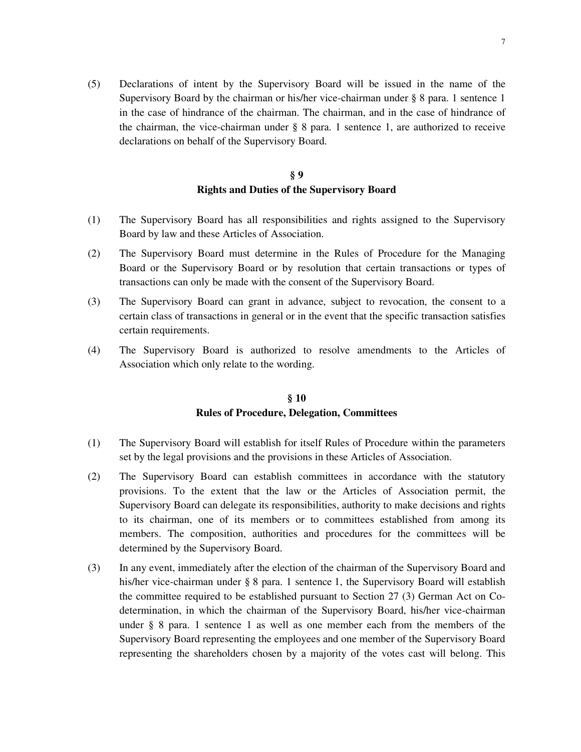(5) Declarations of intent by the Supervisory Board will be issued in the name of the Supervisory Board by the chairman or his/her vice-chairman under § 8 para. 1 sentence 1 in the case of hindrance of the chairman. The chairman, and in the case of hindrance of the chairman, the vice-chairman under § 8 para. 1 sentence 1, are authorized to receive declarations on behalf of the Supervisory Board.

## **§ 9 Rights and Duties of the Supervisory Board**

- (1) The Supervisory Board has all responsibilities and rights assigned to the Supervisory Board by law and these Articles of Association.
- (2) The Supervisory Board must determine in the Rules of Procedure for the Managing Board or the Supervisory Board or by resolution that certain transactions or types of transactions can only be made with the consent of the Supervisory Board.
- (3) The Supervisory Board can grant in advance, subject to revocation, the consent to a certain class of transactions in general or in the event that the specific transaction satisfies certain requirements.
- (4) The Supervisory Board is authorized to resolve amendments to the Articles of Association which only relate to the wording.

## **§ 10 Rules of Procedure, Delegation, Committees**

- (1) The Supervisory Board will establish for itself Rules of Procedure within the parameters set by the legal provisions and the provisions in these Articles of Association.
- (2) The Supervisory Board can establish committees in accordance with the statutory provisions. To the extent that the law or the Articles of Association permit, the Supervisory Board can delegate its responsibilities, authority to make decisions and rights to its chairman, one of its members or to committees established from among its members. The composition, authorities and procedures for the committees will be determined by the Supervisory Board.
- (3) In any event, immediately after the election of the chairman of the Supervisory Board and his/her vice-chairman under § 8 para. 1 sentence 1, the Supervisory Board will establish the committee required to be established pursuant to Section 27 (3) German Act on Codetermination, in which the chairman of the Supervisory Board, his/her vice-chairman under § 8 para. 1 sentence 1 as well as one member each from the members of the Supervisory Board representing the employees and one member of the Supervisory Board representing the shareholders chosen by a majority of the votes cast will belong. This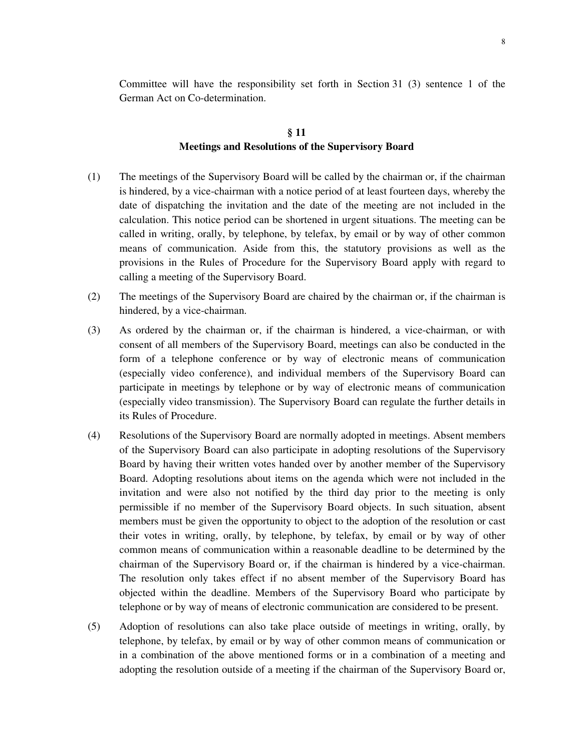Committee will have the responsibility set forth in Section 31 (3) sentence 1 of the German Act on Co-determination.

## **§ 11 Meetings and Resolutions of the Supervisory Board**

- (1) The meetings of the Supervisory Board will be called by the chairman or, if the chairman is hindered, by a vice-chairman with a notice period of at least fourteen days, whereby the date of dispatching the invitation and the date of the meeting are not included in the calculation. This notice period can be shortened in urgent situations. The meeting can be called in writing, orally, by telephone, by telefax, by email or by way of other common means of communication. Aside from this, the statutory provisions as well as the provisions in the Rules of Procedure for the Supervisory Board apply with regard to calling a meeting of the Supervisory Board.
- (2) The meetings of the Supervisory Board are chaired by the chairman or, if the chairman is hindered, by a vice-chairman.
- (3) As ordered by the chairman or, if the chairman is hindered, a vice-chairman, or with consent of all members of the Supervisory Board, meetings can also be conducted in the form of a telephone conference or by way of electronic means of communication (especially video conference), and individual members of the Supervisory Board can participate in meetings by telephone or by way of electronic means of communication (especially video transmission). The Supervisory Board can regulate the further details in its Rules of Procedure.
- (4) Resolutions of the Supervisory Board are normally adopted in meetings. Absent members of the Supervisory Board can also participate in adopting resolutions of the Supervisory Board by having their written votes handed over by another member of the Supervisory Board. Adopting resolutions about items on the agenda which were not included in the invitation and were also not notified by the third day prior to the meeting is only permissible if no member of the Supervisory Board objects. In such situation, absent members must be given the opportunity to object to the adoption of the resolution or cast their votes in writing, orally, by telephone, by telefax, by email or by way of other common means of communication within a reasonable deadline to be determined by the chairman of the Supervisory Board or, if the chairman is hindered by a vice-chairman. The resolution only takes effect if no absent member of the Supervisory Board has objected within the deadline. Members of the Supervisory Board who participate by telephone or by way of means of electronic communication are considered to be present.
- (5) Adoption of resolutions can also take place outside of meetings in writing, orally, by telephone, by telefax, by email or by way of other common means of communication or in a combination of the above mentioned forms or in a combination of a meeting and adopting the resolution outside of a meeting if the chairman of the Supervisory Board or,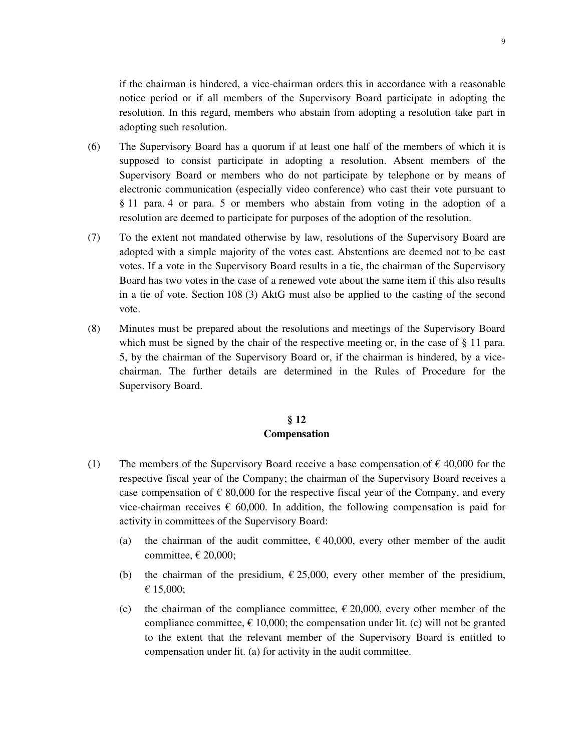if the chairman is hindered, a vice-chairman orders this in accordance with a reasonable notice period or if all members of the Supervisory Board participate in adopting the resolution. In this regard, members who abstain from adopting a resolution take part in adopting such resolution.

- (6) The Supervisory Board has a quorum if at least one half of the members of which it is supposed to consist participate in adopting a resolution. Absent members of the Supervisory Board or members who do not participate by telephone or by means of electronic communication (especially video conference) who cast their vote pursuant to § 11 para. 4 or para. 5 or members who abstain from voting in the adoption of a resolution are deemed to participate for purposes of the adoption of the resolution.
- (7) To the extent not mandated otherwise by law, resolutions of the Supervisory Board are adopted with a simple majority of the votes cast. Abstentions are deemed not to be cast votes. If a vote in the Supervisory Board results in a tie, the chairman of the Supervisory Board has two votes in the case of a renewed vote about the same item if this also results in a tie of vote. Section 108 (3) AktG must also be applied to the casting of the second vote.
- (8) Minutes must be prepared about the resolutions and meetings of the Supervisory Board which must be signed by the chair of the respective meeting or, in the case of § 11 para. 5, by the chairman of the Supervisory Board or, if the chairman is hindered, by a vicechairman. The further details are determined in the Rules of Procedure for the Supervisory Board.

## **§ 12 Compensation**

- (1) The members of the Supervisory Board receive a base compensation of  $\epsilon$  40,000 for the respective fiscal year of the Company; the chairman of the Supervisory Board receives a case compensation of  $\epsilon$  80,000 for the respective fiscal year of the Company, and every vice-chairman receives  $\epsilon$  60,000. In addition, the following compensation is paid for activity in committees of the Supervisory Board:
	- (a) the chairman of the audit committee,  $\epsilon$  40,000, every other member of the audit committee,  $\in$  20,000;
	- (b) the chairman of the presidium,  $\epsilon$  25,000, every other member of the presidium, € 15,000;
	- (c) the chairman of the compliance committee,  $\epsilon$  20,000, every other member of the compliance committee,  $\epsilon$  10,000; the compensation under lit. (c) will not be granted to the extent that the relevant member of the Supervisory Board is entitled to compensation under lit. (a) for activity in the audit committee.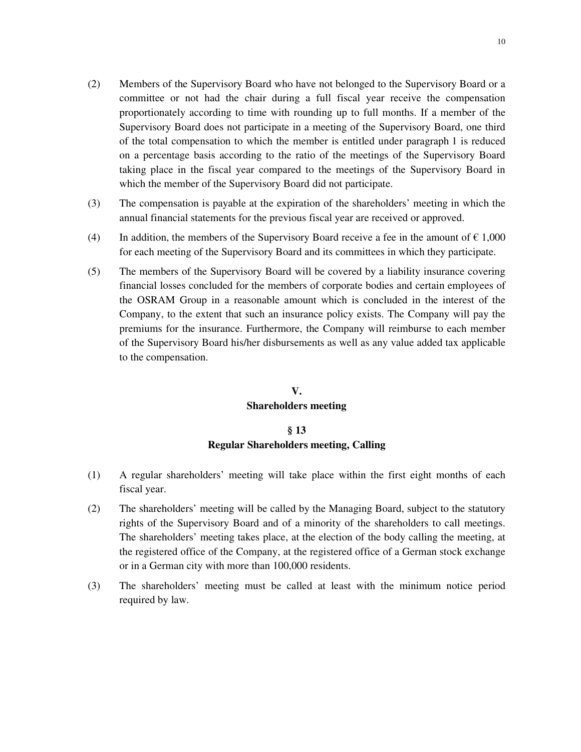10

- (2) Members of the Supervisory Board who have not belonged to the Supervisory Board or a committee or not had the chair during a full fiscal year receive the compensation proportionately according to time with rounding up to full months. If a member of the Supervisory Board does not participate in a meeting of the Supervisory Board, one third of the total compensation to which the member is entitled under paragraph 1 is reduced on a percentage basis according to the ratio of the meetings of the Supervisory Board taking place in the fiscal year compared to the meetings of the Supervisory Board in which the member of the Supervisory Board did not participate.
- (3) The compensation is payable at the expiration of the shareholders' meeting in which the annual financial statements for the previous fiscal year are received or approved.
- (4) In addition, the members of the Supervisory Board receive a fee in the amount of  $\epsilon$  1,000 for each meeting of the Supervisory Board and its committees in which they participate.
- (5) The members of the Supervisory Board will be covered by a liability insurance covering financial losses concluded for the members of corporate bodies and certain employees of the OSRAM Group in a reasonable amount which is concluded in the interest of the Company, to the extent that such an insurance policy exists. The Company will pay the premiums for the insurance. Furthermore, the Company will reimburse to each member of the Supervisory Board his/her disbursements as well as any value added tax applicable to the compensation.

# **V. Shareholders meeting**

# **§ 13 Regular Shareholders meeting, Calling**

- (1) A regular shareholders' meeting will take place within the first eight months of each fiscal year.
- (2) The shareholders' meeting will be called by the Managing Board, subject to the statutory rights of the Supervisory Board and of a minority of the shareholders to call meetings. The shareholders' meeting takes place, at the election of the body calling the meeting, at the registered office of the Company, at the registered office of a German stock exchange or in a German city with more than 100,000 residents.
- (3) The shareholders' meeting must be called at least with the minimum notice period required by law.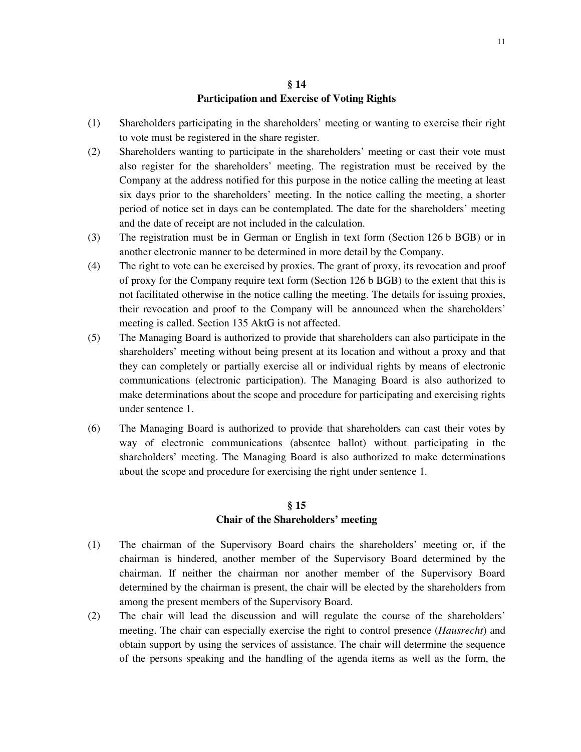## **§ 14 Participation and Exercise of Voting Rights**

- (1) Shareholders participating in the shareholders' meeting or wanting to exercise their right to vote must be registered in the share register.
- (2) Shareholders wanting to participate in the shareholders' meeting or cast their vote must also register for the shareholders' meeting. The registration must be received by the Company at the address notified for this purpose in the notice calling the meeting at least six days prior to the shareholders' meeting. In the notice calling the meeting, a shorter period of notice set in days can be contemplated. The date for the shareholders' meeting and the date of receipt are not included in the calculation.
- (3) The registration must be in German or English in text form (Section 126 b BGB) or in another electronic manner to be determined in more detail by the Company.
- (4) The right to vote can be exercised by proxies. The grant of proxy, its revocation and proof of proxy for the Company require text form (Section 126 b BGB) to the extent that this is not facilitated otherwise in the notice calling the meeting. The details for issuing proxies, their revocation and proof to the Company will be announced when the shareholders' meeting is called. Section 135 AktG is not affected.
- (5) The Managing Board is authorized to provide that shareholders can also participate in the shareholders' meeting without being present at its location and without a proxy and that they can completely or partially exercise all or individual rights by means of electronic communications (electronic participation). The Managing Board is also authorized to make determinations about the scope and procedure for participating and exercising rights under sentence 1.
- (6) The Managing Board is authorized to provide that shareholders can cast their votes by way of electronic communications (absentee ballot) without participating in the shareholders' meeting. The Managing Board is also authorized to make determinations about the scope and procedure for exercising the right under sentence 1.

#### **§ 15**

#### **Chair of the Shareholders' meeting**

- (1) The chairman of the Supervisory Board chairs the shareholders' meeting or, if the chairman is hindered, another member of the Supervisory Board determined by the chairman. If neither the chairman nor another member of the Supervisory Board determined by the chairman is present, the chair will be elected by the shareholders from among the present members of the Supervisory Board.
- (2) The chair will lead the discussion and will regulate the course of the shareholders' meeting. The chair can especially exercise the right to control presence (*Hausrecht*) and obtain support by using the services of assistance. The chair will determine the sequence of the persons speaking and the handling of the agenda items as well as the form, the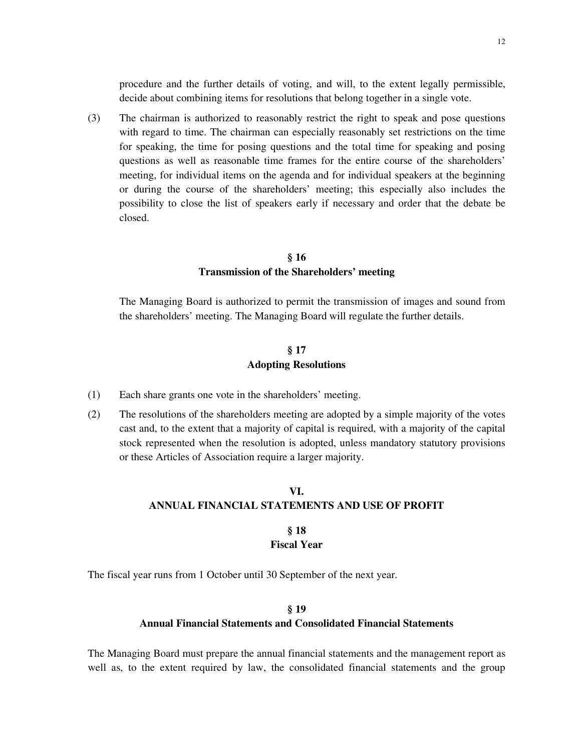procedure and the further details of voting, and will, to the extent legally permissible, decide about combining items for resolutions that belong together in a single vote.

(3) The chairman is authorized to reasonably restrict the right to speak and pose questions with regard to time. The chairman can especially reasonably set restrictions on the time for speaking, the time for posing questions and the total time for speaking and posing questions as well as reasonable time frames for the entire course of the shareholders' meeting, for individual items on the agenda and for individual speakers at the beginning or during the course of the shareholders' meeting; this especially also includes the possibility to close the list of speakers early if necessary and order that the debate be closed.

#### **§ 16**

## **Transmission of the Shareholders' meeting**

 The Managing Board is authorized to permit the transmission of images and sound from the shareholders' meeting. The Managing Board will regulate the further details.

## **§ 17 Adopting Resolutions**

- (1) Each share grants one vote in the shareholders' meeting.
- (2) The resolutions of the shareholders meeting are adopted by a simple majority of the votes cast and, to the extent that a majority of capital is required, with a majority of the capital stock represented when the resolution is adopted, unless mandatory statutory provisions or these Articles of Association require a larger majority.

# **VI. ANNUAL FINANCIAL STATEMENTS AND USE OF PROFIT**

#### **§ 18 Fiscal Year**

The fiscal year runs from 1 October until 30 September of the next year.

# **§ 19 Annual Financial Statements and Consolidated Financial Statements**

The Managing Board must prepare the annual financial statements and the management report as well as, to the extent required by law, the consolidated financial statements and the group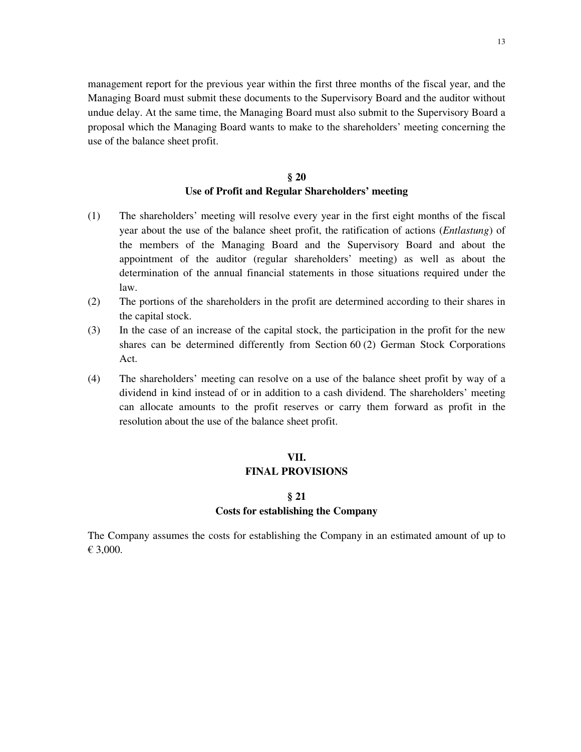management report for the previous year within the first three months of the fiscal year, and the Managing Board must submit these documents to the Supervisory Board and the auditor without undue delay. At the same time, the Managing Board must also submit to the Supervisory Board a proposal which the Managing Board wants to make to the shareholders' meeting concerning the use of the balance sheet profit.

# **§ 20 Use of Profit and Regular Shareholders' meeting**

- (1) The shareholders' meeting will resolve every year in the first eight months of the fiscal year about the use of the balance sheet profit, the ratification of actions (*Entlastung*) of the members of the Managing Board and the Supervisory Board and about the appointment of the auditor (regular shareholders' meeting) as well as about the determination of the annual financial statements in those situations required under the law.
- (2) The portions of the shareholders in the profit are determined according to their shares in the capital stock.
- (3) In the case of an increase of the capital stock, the participation in the profit for the new shares can be determined differently from Section 60 (2) German Stock Corporations Act.
- (4) The shareholders' meeting can resolve on a use of the balance sheet profit by way of a dividend in kind instead of or in addition to a cash dividend. The shareholders' meeting can allocate amounts to the profit reserves or carry them forward as profit in the resolution about the use of the balance sheet profit.

#### **VII.**

#### **FINAL PROVISIONS**

## **§ 21 Costs for establishing the Company**

The Company assumes the costs for establishing the Company in an estimated amount of up to € 3,000.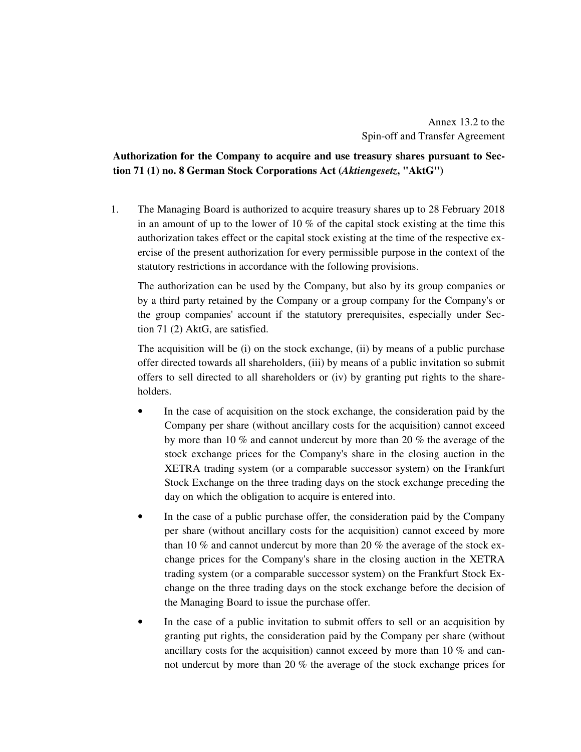# **Authorization for the Company to acquire and use treasury shares pursuant to Section 71 (1) no. 8 German Stock Corporations Act (***Aktiengesetz***, "AktG")**

1. The Managing Board is authorized to acquire treasury shares up to 28 February 2018 in an amount of up to the lower of 10  $\%$  of the capital stock existing at the time this authorization takes effect or the capital stock existing at the time of the respective exercise of the present authorization for every permissible purpose in the context of the statutory restrictions in accordance with the following provisions.

 The authorization can be used by the Company, but also by its group companies or by a third party retained by the Company or a group company for the Company's or the group companies' account if the statutory prerequisites, especially under Section 71 (2) AktG, are satisfied.

 The acquisition will be (i) on the stock exchange, (ii) by means of a public purchase offer directed towards all shareholders, (iii) by means of a public invitation so submit offers to sell directed to all shareholders or (iv) by granting put rights to the shareholders.

- In the case of acquisition on the stock exchange, the consideration paid by the Company per share (without ancillary costs for the acquisition) cannot exceed by more than 10 % and cannot undercut by more than 20 % the average of the stock exchange prices for the Company's share in the closing auction in the XETRA trading system (or a comparable successor system) on the Frankfurt Stock Exchange on the three trading days on the stock exchange preceding the day on which the obligation to acquire is entered into.
- In the case of a public purchase offer, the consideration paid by the Company per share (without ancillary costs for the acquisition) cannot exceed by more than 10 % and cannot undercut by more than 20 % the average of the stock exchange prices for the Company's share in the closing auction in the XETRA trading system (or a comparable successor system) on the Frankfurt Stock Exchange on the three trading days on the stock exchange before the decision of the Managing Board to issue the purchase offer.
- In the case of a public invitation to submit offers to sell or an acquisition by granting put rights, the consideration paid by the Company per share (without ancillary costs for the acquisition) cannot exceed by more than 10 % and cannot undercut by more than 20 % the average of the stock exchange prices for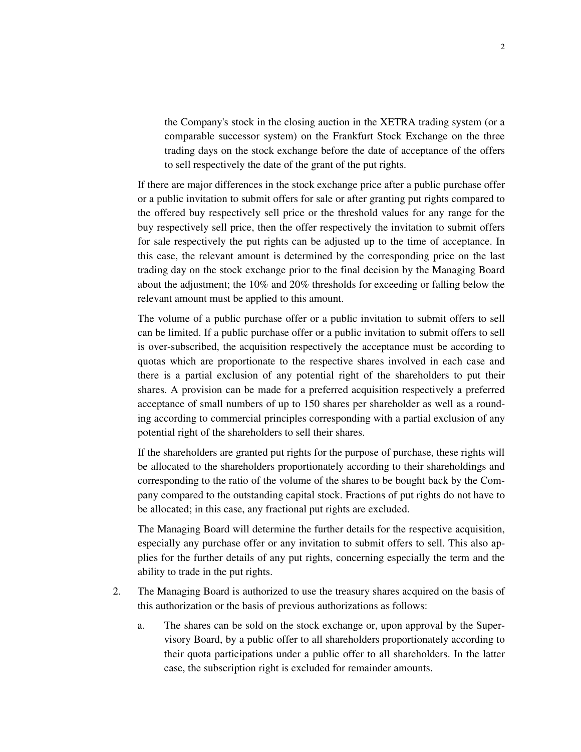the Company's stock in the closing auction in the XETRA trading system (or a comparable successor system) on the Frankfurt Stock Exchange on the three trading days on the stock exchange before the date of acceptance of the offers to sell respectively the date of the grant of the put rights.

 If there are major differences in the stock exchange price after a public purchase offer or a public invitation to submit offers for sale or after granting put rights compared to the offered buy respectively sell price or the threshold values for any range for the buy respectively sell price, then the offer respectively the invitation to submit offers for sale respectively the put rights can be adjusted up to the time of acceptance. In this case, the relevant amount is determined by the corresponding price on the last trading day on the stock exchange prior to the final decision by the Managing Board about the adjustment; the 10% and 20% thresholds for exceeding or falling below the relevant amount must be applied to this amount.

 The volume of a public purchase offer or a public invitation to submit offers to sell can be limited. If a public purchase offer or a public invitation to submit offers to sell is over-subscribed, the acquisition respectively the acceptance must be according to quotas which are proportionate to the respective shares involved in each case and there is a partial exclusion of any potential right of the shareholders to put their shares. A provision can be made for a preferred acquisition respectively a preferred acceptance of small numbers of up to 150 shares per shareholder as well as a rounding according to commercial principles corresponding with a partial exclusion of any potential right of the shareholders to sell their shares.

 If the shareholders are granted put rights for the purpose of purchase, these rights will be allocated to the shareholders proportionately according to their shareholdings and corresponding to the ratio of the volume of the shares to be bought back by the Company compared to the outstanding capital stock. Fractions of put rights do not have to be allocated; in this case, any fractional put rights are excluded.

 The Managing Board will determine the further details for the respective acquisition, especially any purchase offer or any invitation to submit offers to sell. This also applies for the further details of any put rights, concerning especially the term and the ability to trade in the put rights.

- 2. The Managing Board is authorized to use the treasury shares acquired on the basis of this authorization or the basis of previous authorizations as follows:
	- a. The shares can be sold on the stock exchange or, upon approval by the Supervisory Board, by a public offer to all shareholders proportionately according to their quota participations under a public offer to all shareholders. In the latter case, the subscription right is excluded for remainder amounts.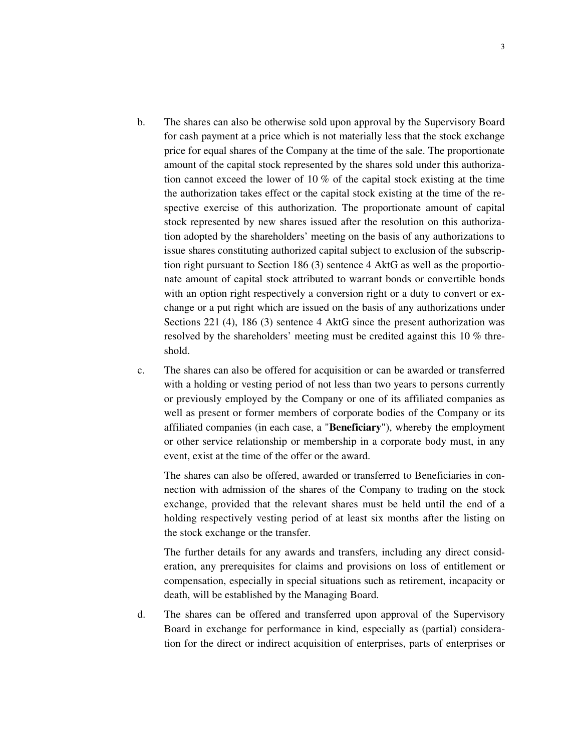- b. The shares can also be otherwise sold upon approval by the Supervisory Board for cash payment at a price which is not materially less that the stock exchange price for equal shares of the Company at the time of the sale. The proportionate amount of the capital stock represented by the shares sold under this authorization cannot exceed the lower of 10 % of the capital stock existing at the time the authorization takes effect or the capital stock existing at the time of the respective exercise of this authorization. The proportionate amount of capital stock represented by new shares issued after the resolution on this authorization adopted by the shareholders' meeting on the basis of any authorizations to issue shares constituting authorized capital subject to exclusion of the subscription right pursuant to Section 186 (3) sentence 4 AktG as well as the proportionate amount of capital stock attributed to warrant bonds or convertible bonds with an option right respectively a conversion right or a duty to convert or exchange or a put right which are issued on the basis of any authorizations under Sections 221 (4), 186 (3) sentence 4 AktG since the present authorization was resolved by the shareholders' meeting must be credited against this 10 % threshold.
- c. The shares can also be offered for acquisition or can be awarded or transferred with a holding or vesting period of not less than two years to persons currently or previously employed by the Company or one of its affiliated companies as well as present or former members of corporate bodies of the Company or its affiliated companies (in each case, a "**Beneficiary**"), whereby the employment or other service relationship or membership in a corporate body must, in any event, exist at the time of the offer or the award.

 The shares can also be offered, awarded or transferred to Beneficiaries in connection with admission of the shares of the Company to trading on the stock exchange, provided that the relevant shares must be held until the end of a holding respectively vesting period of at least six months after the listing on the stock exchange or the transfer.

 The further details for any awards and transfers, including any direct consideration, any prerequisites for claims and provisions on loss of entitlement or compensation, especially in special situations such as retirement, incapacity or death, will be established by the Managing Board.

d. The shares can be offered and transferred upon approval of the Supervisory Board in exchange for performance in kind, especially as (partial) consideration for the direct or indirect acquisition of enterprises, parts of enterprises or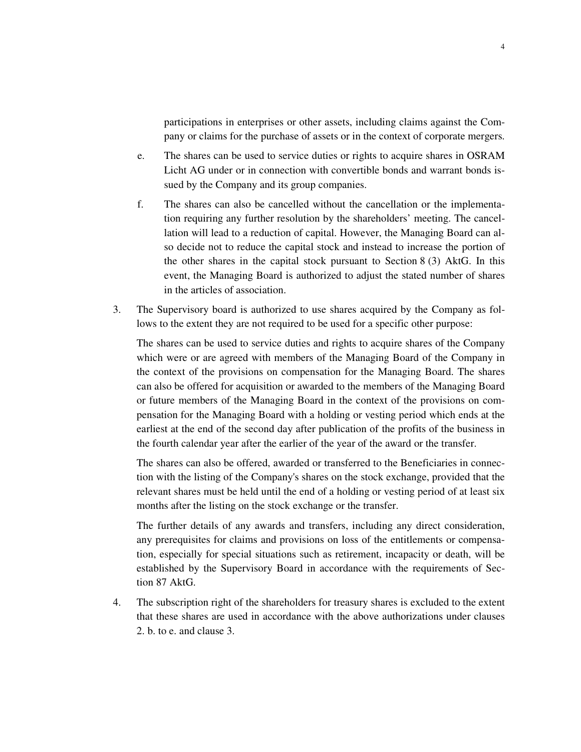participations in enterprises or other assets, including claims against the Company or claims for the purchase of assets or in the context of corporate mergers.

- e. The shares can be used to service duties or rights to acquire shares in OSRAM Licht AG under or in connection with convertible bonds and warrant bonds issued by the Company and its group companies.
- f. The shares can also be cancelled without the cancellation or the implementation requiring any further resolution by the shareholders' meeting. The cancellation will lead to a reduction of capital. However, the Managing Board can also decide not to reduce the capital stock and instead to increase the portion of the other shares in the capital stock pursuant to Section 8 (3) AktG. In this event, the Managing Board is authorized to adjust the stated number of shares in the articles of association.
- 3. The Supervisory board is authorized to use shares acquired by the Company as follows to the extent they are not required to be used for a specific other purpose:

 The shares can be used to service duties and rights to acquire shares of the Company which were or are agreed with members of the Managing Board of the Company in the context of the provisions on compensation for the Managing Board. The shares can also be offered for acquisition or awarded to the members of the Managing Board or future members of the Managing Board in the context of the provisions on compensation for the Managing Board with a holding or vesting period which ends at the earliest at the end of the second day after publication of the profits of the business in the fourth calendar year after the earlier of the year of the award or the transfer.

 The shares can also be offered, awarded or transferred to the Beneficiaries in connection with the listing of the Company's shares on the stock exchange, provided that the relevant shares must be held until the end of a holding or vesting period of at least six months after the listing on the stock exchange or the transfer.

 The further details of any awards and transfers, including any direct consideration, any prerequisites for claims and provisions on loss of the entitlements or compensation, especially for special situations such as retirement, incapacity or death, will be established by the Supervisory Board in accordance with the requirements of Section 87 AktG.

4. The subscription right of the shareholders for treasury shares is excluded to the extent that these shares are used in accordance with the above authorizations under clauses 2. b. to e. and clause 3.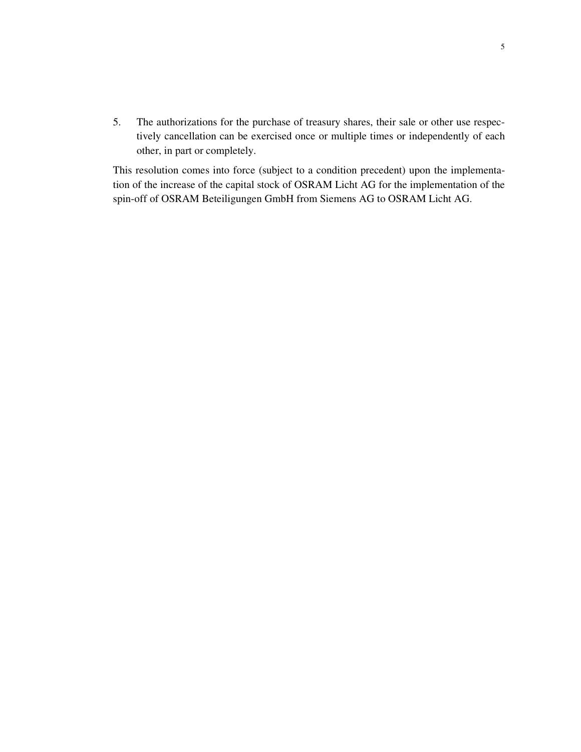5. The authorizations for the purchase of treasury shares, their sale or other use respectively cancellation can be exercised once or multiple times or independently of each other, in part or completely.

This resolution comes into force (subject to a condition precedent) upon the implementation of the increase of the capital stock of OSRAM Licht AG for the implementation of the spin-off of OSRAM Beteiligungen GmbH from Siemens AG to OSRAM Licht AG.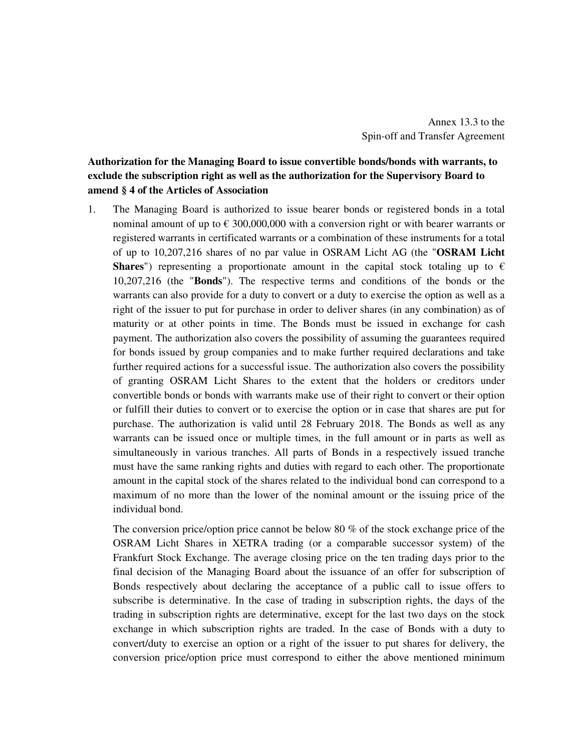# **Authorization for the Managing Board to issue convertible bonds/bonds with warrants, to exclude the subscription right as well as the authorization for the Supervisory Board to amend § 4 of the Articles of Association**

1. The Managing Board is authorized to issue bearer bonds or registered bonds in a total nominal amount of up to  $\epsilon$  300,000,000 with a conversion right or with bearer warrants or registered warrants in certificated warrants or a combination of these instruments for a total of up to 10,207,216 shares of no par value in OSRAM Licht AG (the "**OSRAM Licht Shares**") representing a proportionate amount in the capital stock totaling up to  $\epsilon$ 10,207,216 (the "**Bonds**"). The respective terms and conditions of the bonds or the warrants can also provide for a duty to convert or a duty to exercise the option as well as a right of the issuer to put for purchase in order to deliver shares (in any combination) as of maturity or at other points in time. The Bonds must be issued in exchange for cash payment. The authorization also covers the possibility of assuming the guarantees required for bonds issued by group companies and to make further required declarations and take further required actions for a successful issue. The authorization also covers the possibility of granting OSRAM Licht Shares to the extent that the holders or creditors under convertible bonds or bonds with warrants make use of their right to convert or their option or fulfill their duties to convert or to exercise the option or in case that shares are put for purchase. The authorization is valid until 28 February 2018. The Bonds as well as any warrants can be issued once or multiple times, in the full amount or in parts as well as simultaneously in various tranches. All parts of Bonds in a respectively issued tranche must have the same ranking rights and duties with regard to each other. The proportionate amount in the capital stock of the shares related to the individual bond can correspond to a maximum of no more than the lower of the nominal amount or the issuing price of the individual bond.

 The conversion price/option price cannot be below 80 % of the stock exchange price of the OSRAM Licht Shares in XETRA trading (or a comparable successor system) of the Frankfurt Stock Exchange. The average closing price on the ten trading days prior to the final decision of the Managing Board about the issuance of an offer for subscription of Bonds respectively about declaring the acceptance of a public call to issue offers to subscribe is determinative. In the case of trading in subscription rights, the days of the trading in subscription rights are determinative, except for the last two days on the stock exchange in which subscription rights are traded. In the case of Bonds with a duty to convert/duty to exercise an option or a right of the issuer to put shares for delivery, the conversion price/option price must correspond to either the above mentioned minimum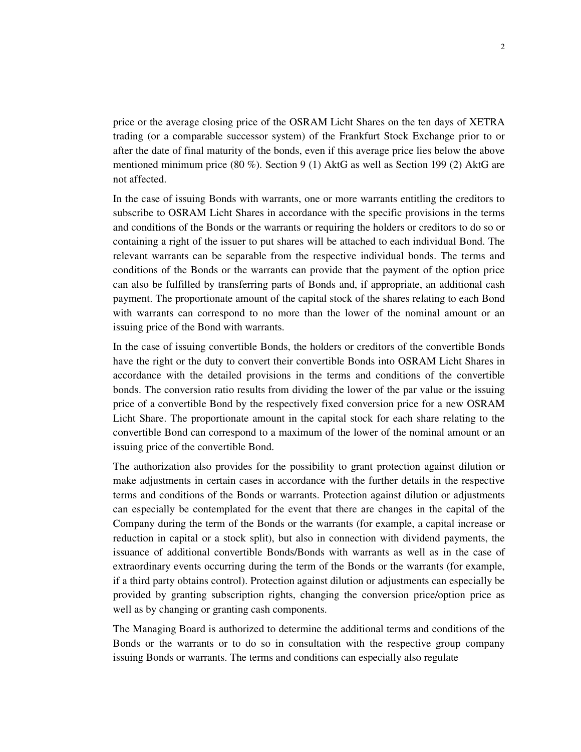price or the average closing price of the OSRAM Licht Shares on the ten days of XETRA trading (or a comparable successor system) of the Frankfurt Stock Exchange prior to or after the date of final maturity of the bonds, even if this average price lies below the above mentioned minimum price (80 %). Section 9 (1) AktG as well as Section 199 (2) AktG are not affected.

 In the case of issuing Bonds with warrants, one or more warrants entitling the creditors to subscribe to OSRAM Licht Shares in accordance with the specific provisions in the terms and conditions of the Bonds or the warrants or requiring the holders or creditors to do so or containing a right of the issuer to put shares will be attached to each individual Bond. The relevant warrants can be separable from the respective individual bonds. The terms and conditions of the Bonds or the warrants can provide that the payment of the option price can also be fulfilled by transferring parts of Bonds and, if appropriate, an additional cash payment. The proportionate amount of the capital stock of the shares relating to each Bond with warrants can correspond to no more than the lower of the nominal amount or an issuing price of the Bond with warrants.

 In the case of issuing convertible Bonds, the holders or creditors of the convertible Bonds have the right or the duty to convert their convertible Bonds into OSRAM Licht Shares in accordance with the detailed provisions in the terms and conditions of the convertible bonds. The conversion ratio results from dividing the lower of the par value or the issuing price of a convertible Bond by the respectively fixed conversion price for a new OSRAM Licht Share. The proportionate amount in the capital stock for each share relating to the convertible Bond can correspond to a maximum of the lower of the nominal amount or an issuing price of the convertible Bond.

 The authorization also provides for the possibility to grant protection against dilution or make adjustments in certain cases in accordance with the further details in the respective terms and conditions of the Bonds or warrants. Protection against dilution or adjustments can especially be contemplated for the event that there are changes in the capital of the Company during the term of the Bonds or the warrants (for example, a capital increase or reduction in capital or a stock split), but also in connection with dividend payments, the issuance of additional convertible Bonds/Bonds with warrants as well as in the case of extraordinary events occurring during the term of the Bonds or the warrants (for example, if a third party obtains control). Protection against dilution or adjustments can especially be provided by granting subscription rights, changing the conversion price/option price as well as by changing or granting cash components.

 The Managing Board is authorized to determine the additional terms and conditions of the Bonds or the warrants or to do so in consultation with the respective group company issuing Bonds or warrants. The terms and conditions can especially also regulate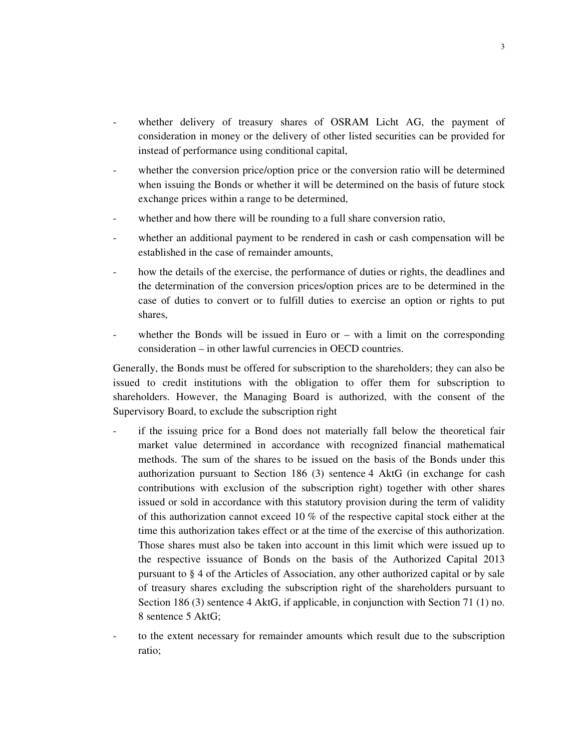- whether delivery of treasury shares of OSRAM Licht AG, the payment of consideration in money or the delivery of other listed securities can be provided for instead of performance using conditional capital,
- whether the conversion price/option price or the conversion ratio will be determined when issuing the Bonds or whether it will be determined on the basis of future stock exchange prices within a range to be determined,
- whether and how there will be rounding to a full share conversion ratio,
- whether an additional payment to be rendered in cash or cash compensation will be established in the case of remainder amounts,
- how the details of the exercise, the performance of duties or rights, the deadlines and the determination of the conversion prices/option prices are to be determined in the case of duties to convert or to fulfill duties to exercise an option or rights to put shares,
- whether the Bonds will be issued in Euro or  $-$  with a limit on the corresponding consideration – in other lawful currencies in OECD countries.

 Generally, the Bonds must be offered for subscription to the shareholders; they can also be issued to credit institutions with the obligation to offer them for subscription to shareholders. However, the Managing Board is authorized, with the consent of the Supervisory Board, to exclude the subscription right

- if the issuing price for a Bond does not materially fall below the theoretical fair market value determined in accordance with recognized financial mathematical methods. The sum of the shares to be issued on the basis of the Bonds under this authorization pursuant to Section 186 (3) sentence 4 AktG (in exchange for cash contributions with exclusion of the subscription right) together with other shares issued or sold in accordance with this statutory provision during the term of validity of this authorization cannot exceed 10 % of the respective capital stock either at the time this authorization takes effect or at the time of the exercise of this authorization. Those shares must also be taken into account in this limit which were issued up to the respective issuance of Bonds on the basis of the Authorized Capital 2013 pursuant to § 4 of the Articles of Association, any other authorized capital or by sale of treasury shares excluding the subscription right of the shareholders pursuant to Section 186 (3) sentence 4 AktG, if applicable, in conjunction with Section 71 (1) no. 8 sentence 5 AktG;
- to the extent necessary for remainder amounts which result due to the subscription ratio;